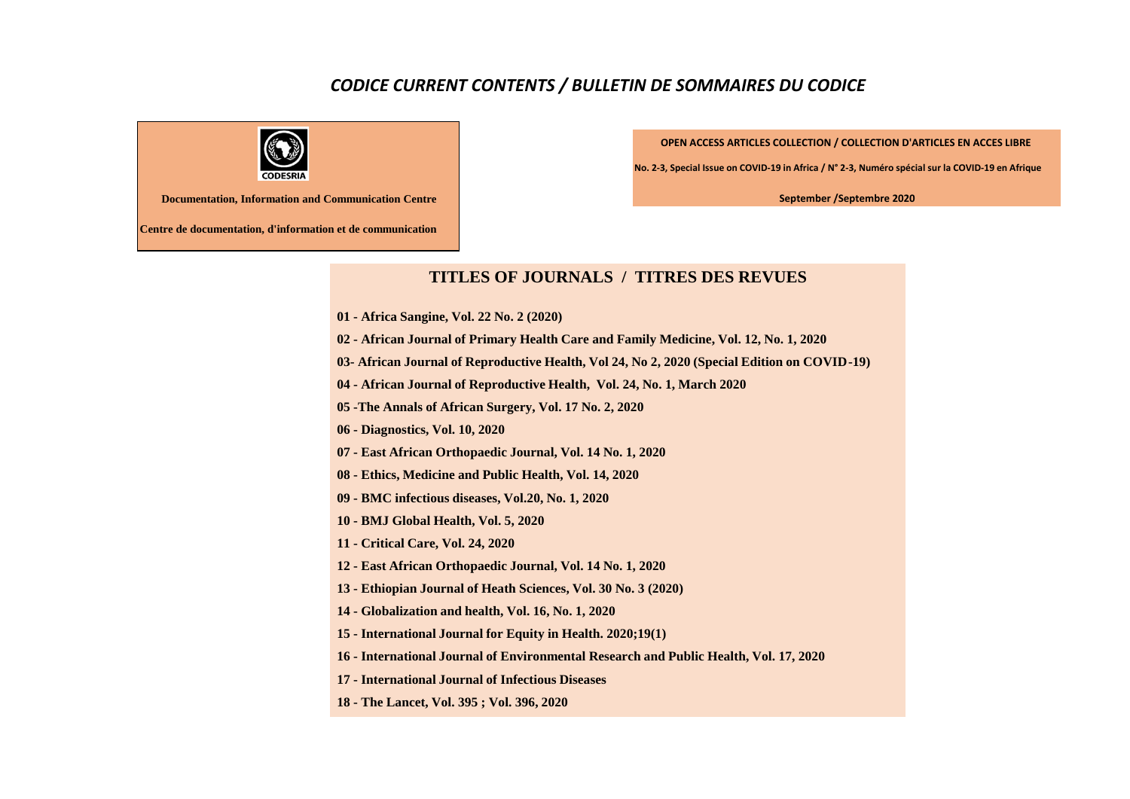## *CODICE CURRENT CONTENTS / BULLETIN DE SOMMAIRES DU CODICE*



**OPEN ACCESS ARTICLES COLLECTION / COLLECTION D'ARTICLES EN ACCES LIBRE** 

**No. 2-3, Special Issue on COVID-19 in Africa / N° 2-3, Numéro spécial sur la COVID-19 en Afrique**

**September /Septembre 2020**

**Documentation, Information and Communication Centre**

**Centre de documentation, d'information et de communication**

## **TITLES OF JOURNALS / TITRES DES REVUES**

- **01 - Africa Sangine, Vol. 22 No. 2 (2020)**
- **02 - African Journal of Primary Health Care and Family Medicine, Vol. 12, No. 1, 2020**
- **03- African Journal of Reproductive Health, Vol 24, No 2, 2020 (Special Edition on COVID-19)**
- **04 - African Journal of Reproductive Health, Vol. 24, No. 1, March 2020**
- **05 -The Annals of African Surgery, Vol. 17 No. 2, 2020**
- **06 - Diagnostics, Vol. 10, 2020**
- **07 - East African Orthopaedic Journal, Vol. 14 No. 1, 2020**
- **08 - Ethics, Medicine and Public Health, Vol. 14, 2020**
- **09 - BMC infectious diseases, Vol.20, No. 1, 2020**
- **10 - BMJ Global Health, Vol. 5, 2020**
- **11 - Critical Care, Vol. 24, 2020**
- **12 - East African Orthopaedic Journal, Vol. 14 No. 1, 2020**
- **13 - Ethiopian Journal of Heath Sciences, Vol. 30 No. 3 (2020)**
- **14 - Globalization and health, Vol. 16, No. 1, 2020**
- **15 - International Journal for Equity in Health. 2020;19(1)**
- **16 - International Journal of Environmental Research and Public Health, Vol. 17, 2020**
- **17 - International Journal of Infectious Diseases**
- **18 - The Lancet, Vol. 395 ; Vol. 396, 2020**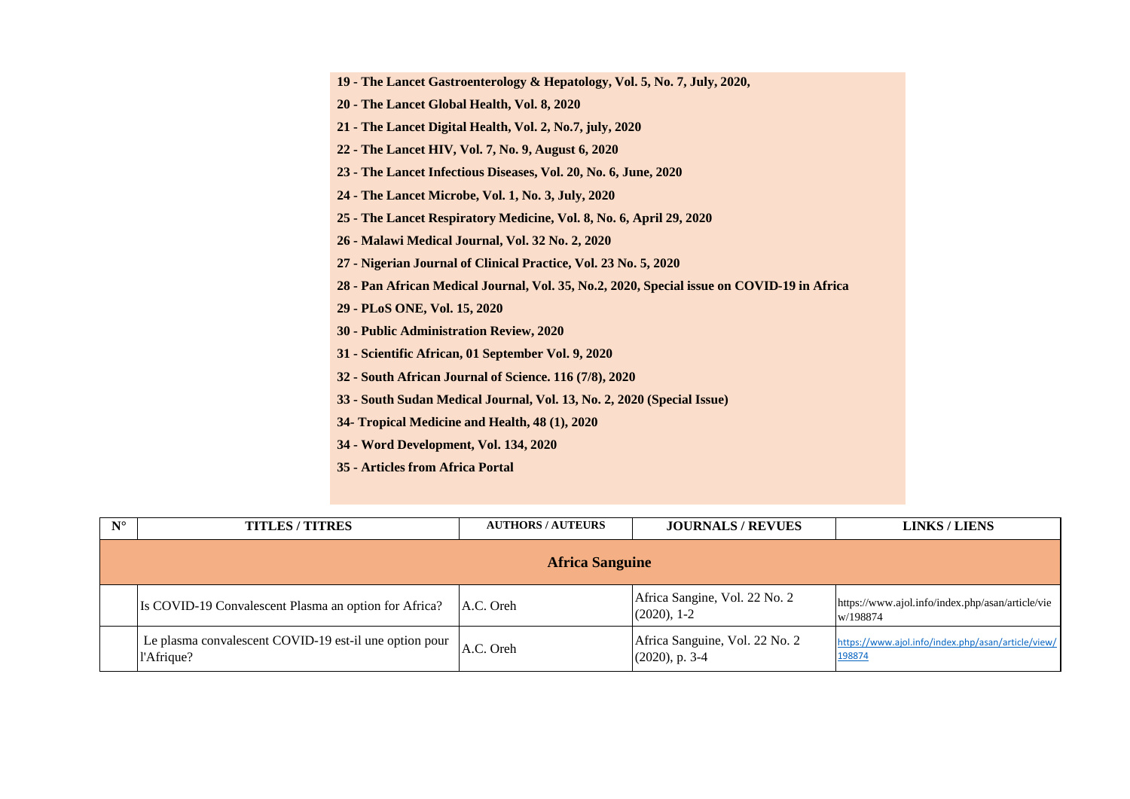| 19 - The Lancet Gastroenterology & Hepatology, Vol. 5, No. 7, July, 2020,                  |
|--------------------------------------------------------------------------------------------|
| 20 - The Lancet Global Health, Vol. 8, 2020                                                |
| 21 - The Lancet Digital Health, Vol. 2, No.7, july, 2020                                   |
| 22 - The Lancet HIV, Vol. 7, No. 9, August 6, 2020                                         |
| 23 - The Lancet Infectious Diseases, Vol. 20, No. 6, June, 2020                            |
| 24 - The Lancet Microbe, Vol. 1, No. 3, July, 2020                                         |
| 25 - The Lancet Respiratory Medicine, Vol. 8, No. 6, April 29, 2020                        |
| 26 - Malawi Medical Journal, Vol. 32 No. 2, 2020                                           |
| 27 - Nigerian Journal of Clinical Practice, Vol. 23 No. 5, 2020                            |
| 28 - Pan African Medical Journal, Vol. 35, No.2, 2020, Special issue on COVID-19 in Africa |
| 29 - PLoS ONE, Vol. 15, 2020                                                               |
| 30 - Public Administration Review, 2020                                                    |
| 31 - Scientific African, 01 September Vol. 9, 2020                                         |
| 32 - South African Journal of Science. 116 (7/8), 2020                                     |
| 33 - South Sudan Medical Journal, Vol. 13, No. 2, 2020 (Special Issue)                     |
| 34- Tropical Medicine and Health, 48 (1), 2020                                             |
| 34 - Word Development, Vol. 134, 2020                                                      |
|                                                                                            |

| 35 - Articles from Africa Portal |  |  |
|----------------------------------|--|--|
|                                  |  |  |

| $N^{\circ}$ | <b>TITLES/TITRES</b>                                                 | <b>AUTHORS/AUTEURS</b> | <b>JOURNALS / REVUES</b>                            | <b>LINKS/LIENS</b>                                           |  |  |
|-------------|----------------------------------------------------------------------|------------------------|-----------------------------------------------------|--------------------------------------------------------------|--|--|
|             | <b>Africa Sanguine</b>                                               |                        |                                                     |                                                              |  |  |
|             | Is COVID-19 Convalescent Plasma an option for Africa?                | A.C. Oreh              | Africa Sangine, Vol. 22 No. 2<br>$(2020), 1-2$      | https://www.ajol.info/index.php/asan/article/vie<br>w/198874 |  |  |
|             | Le plasma convalescent COVID-19 est-il une option pour<br>l'Afrique? | A.C. Oreh              | Africa Sanguine, Vol. 22 No. 2<br>$(2020)$ , p. 3-4 | https://www.ajol.info/index.php/asan/article/view/<br>198874 |  |  |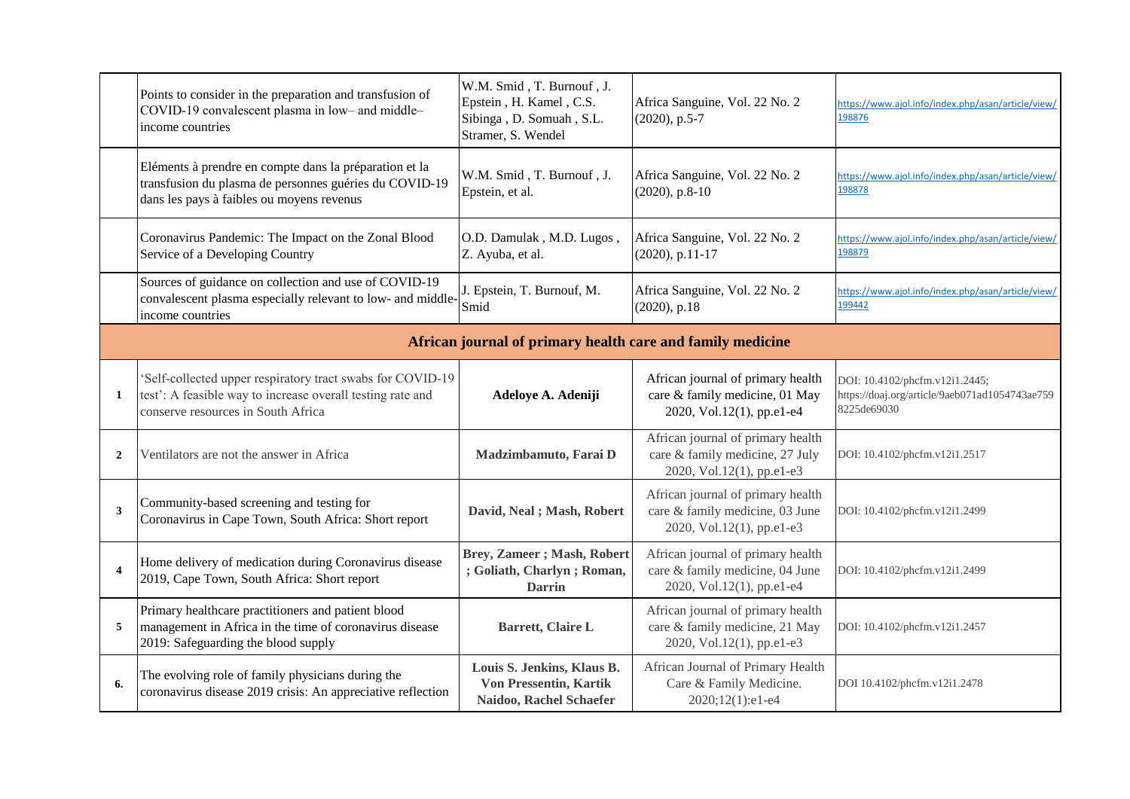|                | Points to consider in the preparation and transfusion of<br>COVID-19 convalescent plasma in low- and middle-<br>income countries                               | W.M. Smid, T. Burnouf, J.<br>Epstein, H. Kamel, C.S.<br>Sibinga, D. Somuah, S.L.<br>Stramer, S. Wendel | Africa Sanguine, Vol. 22 No. 2<br>$(2020)$ , p.5-7                                                | https://www.ajol.info/index.php/asan/article/view/<br>198876                                    |
|----------------|----------------------------------------------------------------------------------------------------------------------------------------------------------------|--------------------------------------------------------------------------------------------------------|---------------------------------------------------------------------------------------------------|-------------------------------------------------------------------------------------------------|
|                | Eléments à prendre en compte dans la préparation et la<br>transfusion du plasma de personnes guéries du COVID-19<br>dans les pays à faibles ou moyens revenus  | W.M. Smid, T. Burnouf, J.<br>Epstein, et al.                                                           | Africa Sanguine, Vol. 22 No. 2<br>$(2020)$ , p.8-10                                               | https://www.ajol.info/index.php/asan/article/view/<br>198878                                    |
|                | Coronavirus Pandemic: The Impact on the Zonal Blood<br>Service of a Developing Country                                                                         | O.D. Damulak, M.D. Lugos,<br>Z. Ayuba, et al.                                                          | Africa Sanguine, Vol. 22 No. 2<br>$(2020)$ , p.11-17                                              | https://www.ajol.info/index.php/asan/article/view/<br>198879                                    |
|                | Sources of guidance on collection and use of COVID-19<br>convalescent plasma especially relevant to low- and middle-<br>income countries                       | J. Epstein, T. Burnouf, M.<br>Smid                                                                     | Africa Sanguine, Vol. 22 No. 2<br>$(2020)$ , p.18                                                 | https://www.ajol.info/index.php/asan/article/view/<br>199442                                    |
|                |                                                                                                                                                                | African journal of primary health care and family medicine                                             |                                                                                                   |                                                                                                 |
| $\mathbf{1}$   | 'Self-collected upper respiratory tract swabs for COVID-19<br>test': A feasible way to increase overall testing rate and<br>conserve resources in South Africa | Adeloye A. Adeniji                                                                                     | African journal of primary health<br>care & family medicine, 01 May<br>2020, Vol.12(1), pp.e1-e4  | DOI: 10.4102/phcfm.v12i1.2445;<br>https://doaj.org/article/9aeb071ad1054743ae759<br>8225de69030 |
| $\overline{2}$ | Ventilators are not the answer in Africa                                                                                                                       | Madzimbamuto, Farai D                                                                                  | African journal of primary health<br>care & family medicine, 27 July<br>2020, Vol.12(1), pp.e1-e3 | DOI: 10.4102/phcfm.v12i1.2517                                                                   |
| 3              | Community-based screening and testing for<br>Coronavirus in Cape Town, South Africa: Short report                                                              | David, Neal; Mash, Robert                                                                              | African journal of primary health<br>care & family medicine, 03 June<br>2020, Vol.12(1), pp.e1-e3 | DOI: 10.4102/phcfm.v12i1.2499                                                                   |
|                | Home delivery of medication during Coronavirus disease<br>2019, Cape Town, South Africa: Short report                                                          | <b>Brey, Zameer</b> ; Mash, Robert<br>; Goliath, Charlyn; Roman,<br><b>Darrin</b>                      | African journal of primary health<br>care & family medicine, 04 June<br>2020, Vol.12(1), pp.e1-e4 | DOI: 10.4102/phcfm.v12i1.2499                                                                   |
| 5              | Primary healthcare practitioners and patient blood<br>management in Africa in the time of coronavirus disease<br>2019: Safeguarding the blood supply           | Barrett, Claire L                                                                                      | African journal of primary health<br>care & family medicine, 21 May<br>2020, Vol.12(1), pp.e1-e3  | DOI: 10.4102/phcfm.v12i1.2457                                                                   |
| 6.             | The evolving role of family physicians during the<br>coronavirus disease 2019 crisis: An appreciative reflection                                               | Louis S. Jenkins, Klaus B.<br><b>Von Pressentin, Kartik</b><br>Naidoo, Rachel Schaefer                 | African Journal of Primary Health<br>Care & Family Medicine.<br>2020;12(1):e1-e4                  | DOI 10.4102/phcfm.v12i1.2478                                                                    |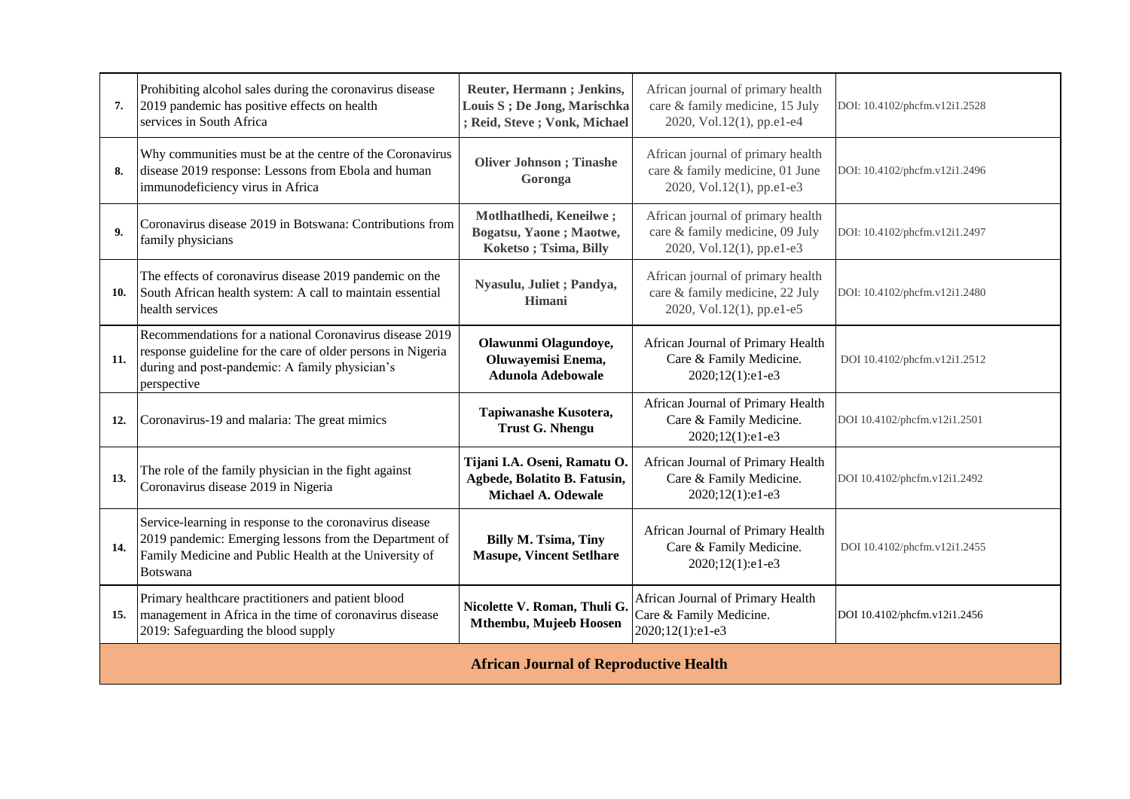| 7.  | Prohibiting alcohol sales during the coronavirus disease<br>2019 pandemic has positive effects on health<br>services in South Africa                                                           | Reuter, Hermann; Jenkins,<br>Louis S ; De Jong, Marischka<br>; Reid, Steve; Vonk, Michael | African journal of primary health<br>care & family medicine, 15 July<br>2020, Vol.12(1), pp.e1-e4 | DOI: 10.4102/phcfm.v12i1.2528 |  |
|-----|------------------------------------------------------------------------------------------------------------------------------------------------------------------------------------------------|-------------------------------------------------------------------------------------------|---------------------------------------------------------------------------------------------------|-------------------------------|--|
| 8.  | Why communities must be at the centre of the Coronavirus<br>disease 2019 response: Lessons from Ebola and human<br>immunodeficiency virus in Africa                                            | <b>Oliver Johnson</b> ; Tinashe<br>Goronga                                                | African journal of primary health<br>care & family medicine, 01 June<br>2020, Vol.12(1), pp.e1-e3 | DOI: 10.4102/phcfm.v12i1.2496 |  |
| 9.  | Coronavirus disease 2019 in Botswana: Contributions from<br>family physicians                                                                                                                  | Motlhatlhedi, Keneilwe;<br>Bogatsu, Yaone; Maotwe,<br>Koketso; Tsima, Billy               | African journal of primary health<br>care & family medicine, 09 July<br>2020, Vol.12(1), pp.e1-e3 | DOI: 10.4102/phcfm.v12i1.2497 |  |
| 10. | The effects of coronavirus disease 2019 pandemic on the<br>South African health system: A call to maintain essential<br>health services                                                        | Nyasulu, Juliet ; Pandya,<br>Himani                                                       | African journal of primary health<br>care & family medicine, 22 July<br>2020, Vol.12(1), pp.e1-e5 | DOI: 10.4102/phcfm.v12i1.2480 |  |
| 11. | Recommendations for a national Coronavirus disease 2019<br>response guideline for the care of older persons in Nigeria<br>during and post-pandemic: A family physician's<br>perspective        | Olawunmi Olagundoye,<br>Oluwayemisi Enema,<br><b>Adunola Adebowale</b>                    | African Journal of Primary Health<br>Care & Family Medicine.<br>2020;12(1):e1-e3                  | DOI 10.4102/phcfm.v12i1.2512  |  |
| 12. | Coronavirus-19 and malaria: The great mimics                                                                                                                                                   | Tapiwanashe Kusotera,<br><b>Trust G. Nhengu</b>                                           | African Journal of Primary Health<br>Care & Family Medicine.<br>2020;12(1):e1-e3                  | DOI 10.4102/phcfm.v12i1.2501  |  |
| 13. | The role of the family physician in the fight against<br>Coronavirus disease 2019 in Nigeria                                                                                                   | Tijani I.A. Oseni, Ramatu O.<br>Agbede, Bolatito B. Fatusin,<br>Michael A. Odewale        | African Journal of Primary Health<br>Care & Family Medicine.<br>2020;12(1):e1-e3                  | DOI 10.4102/phcfm.v12i1.2492  |  |
| 14. | Service-learning in response to the coronavirus disease<br>2019 pandemic: Emerging lessons from the Department of<br>Family Medicine and Public Health at the University of<br><b>Botswana</b> | <b>Billy M. Tsima, Tiny</b><br><b>Masupe, Vincent Setlhare</b>                            | African Journal of Primary Health<br>Care & Family Medicine.<br>2020;12(1):e1-e3                  | DOI 10.4102/phcfm.v12i1.2455  |  |
| 15. | Primary healthcare practitioners and patient blood<br>management in Africa in the time of coronavirus disease<br>2019: Safeguarding the blood supply                                           | Nicolette V. Roman, Thuli G.<br>Mthembu, Mujeeb Hoosen                                    | African Journal of Primary Health<br>Care & Family Medicine.<br>2020;12(1):e1-e3                  | DOI 10.4102/phcfm.v12i1.2456  |  |
|     | <b>African Journal of Reproductive Health</b>                                                                                                                                                  |                                                                                           |                                                                                                   |                               |  |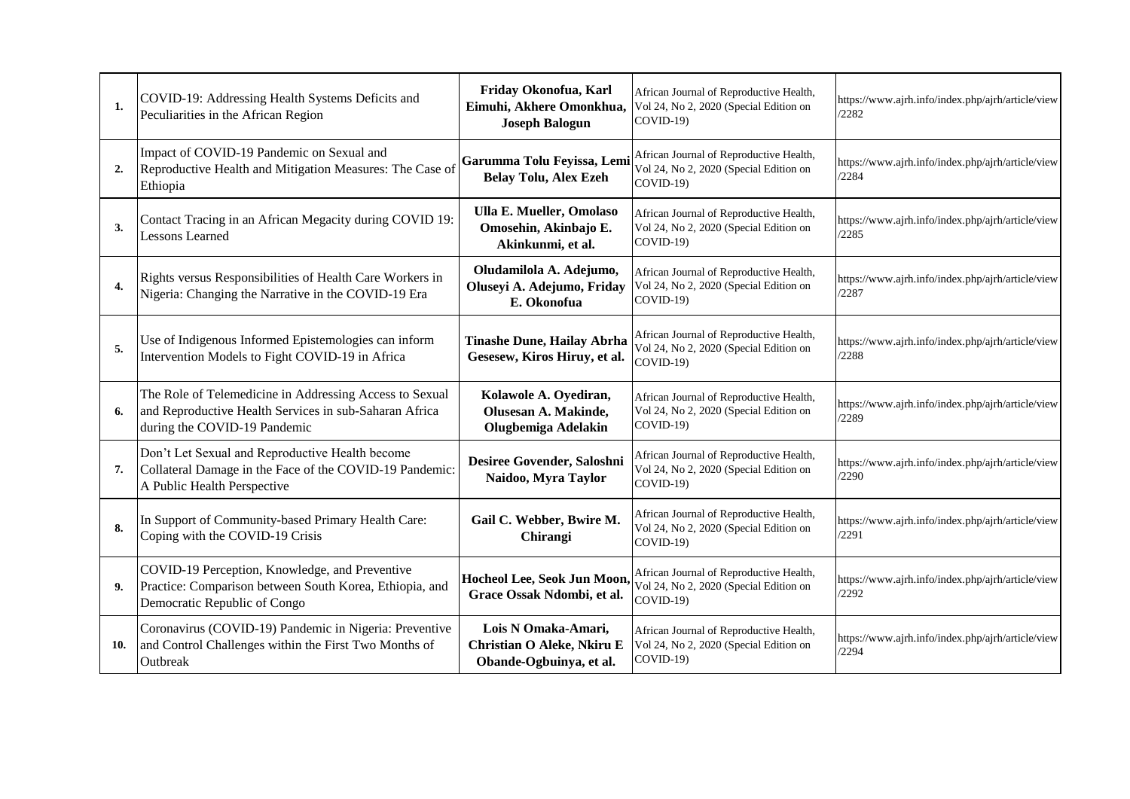| 1.  | COVID-19: Addressing Health Systems Deficits and<br>Peculiarities in the African Region                                                           | Friday Okonofua, Karl<br>Eimuhi, Akhere Omonkhua,<br><b>Joseph Balogun</b>    | African Journal of Reproductive Health,<br>Vol 24, No 2, 2020 (Special Edition on<br>$COVID-19$   | https://www.ajrh.info/index.php/ajrh/article/view<br>/2282 |
|-----|---------------------------------------------------------------------------------------------------------------------------------------------------|-------------------------------------------------------------------------------|---------------------------------------------------------------------------------------------------|------------------------------------------------------------|
| 2.  | Impact of COVID-19 Pandemic on Sexual and<br>Reproductive Health and Mitigation Measures: The Case of<br>Ethiopia                                 | Garumma Tolu Feyissa, Lemi<br><b>Belay Tolu, Alex Ezeh</b>                    | African Journal of Reproductive Health,<br>Vol 24, No 2, 2020 (Special Edition on<br>$COVID-19$ ) | https://www.ajrh.info/index.php/ajrh/article/view<br>/2284 |
| 3.  | Contact Tracing in an African Megacity during COVID 19:<br><b>Lessons Learned</b>                                                                 | <b>Ulla E. Mueller, Omolaso</b><br>Omosehin, Akinbajo E.<br>Akinkunmi, et al. | African Journal of Reproductive Health,<br>Vol 24, No 2, 2020 (Special Edition on<br>COVID-19)    | https://www.ajrh.info/index.php/ajrh/article/view<br>/2285 |
| 4.  | Rights versus Responsibilities of Health Care Workers in<br>Nigeria: Changing the Narrative in the COVID-19 Era                                   | Oludamilola A. Adejumo,<br>Oluseyi A. Adejumo, Friday<br>E. Okonofua          | African Journal of Reproductive Health,<br>Vol 24, No 2, 2020 (Special Edition on<br>$COVID-19$   | https://www.ajrh.info/index.php/ajrh/article/view<br>/2287 |
| 5.  | Use of Indigenous Informed Epistemologies can inform<br>Intervention Models to Fight COVID-19 in Africa                                           | <b>Tinashe Dune, Hailay Abrha</b><br>Gesesew, Kiros Hiruy, et al.             | African Journal of Reproductive Health,<br>Vol 24, No 2, 2020 (Special Edition on<br>COVID-19)    | https://www.ajrh.info/index.php/ajrh/article/view<br>/2288 |
| 6.  | The Role of Telemedicine in Addressing Access to Sexual<br>and Reproductive Health Services in sub-Saharan Africa<br>during the COVID-19 Pandemic | Kolawole A. Oyediran,<br>Olusesan A. Makinde,<br>Olugbemiga Adelakin          | African Journal of Reproductive Health,<br>Vol 24, No 2, 2020 (Special Edition on<br>COVID-19)    | https://www.ajrh.info/index.php/ajrh/article/view<br>/2289 |
| 7.  | Don't Let Sexual and Reproductive Health become<br>Collateral Damage in the Face of the COVID-19 Pandemic:<br>A Public Health Perspective         | Desiree Govender, Saloshni<br>Naidoo, Myra Taylor                             | African Journal of Reproductive Health,<br>Vol 24, No 2, 2020 (Special Edition on<br>$COVID-19$   | https://www.ajrh.info/index.php/ajrh/article/view<br>/2290 |
| 8.  | In Support of Community-based Primary Health Care:<br>Coping with the COVID-19 Crisis                                                             | Gail C. Webber, Bwire M.<br>Chirangi                                          | African Journal of Reproductive Health,<br>Vol 24, No 2, 2020 (Special Edition on<br>COVID-19)    | https://www.ajrh.info/index.php/ajrh/article/view<br>/2291 |
| 9.  | COVID-19 Perception, Knowledge, and Preventive<br>Practice: Comparison between South Korea, Ethiopia, and<br>Democratic Republic of Congo         | Hocheol Lee, Seok Jun Moon,<br>Grace Ossak Ndombi, et al.                     | African Journal of Reproductive Health,<br>Vol 24, No 2, 2020 (Special Edition on<br>$COVID-19$   | https://www.ajrh.info/index.php/ajrh/article/view<br>/2292 |
| 10. | Coronavirus (COVID-19) Pandemic in Nigeria: Preventive<br>and Control Challenges within the First Two Months of<br>Outbreak                       | Lois N Omaka-Amari,<br>Christian O Aleke, Nkiru E<br>Obande-Ogbuinya, et al.  | African Journal of Reproductive Health,<br>Vol 24, No 2, 2020 (Special Edition on<br>COVID-19)    | https://www.ajrh.info/index.php/ajrh/article/view<br>/2294 |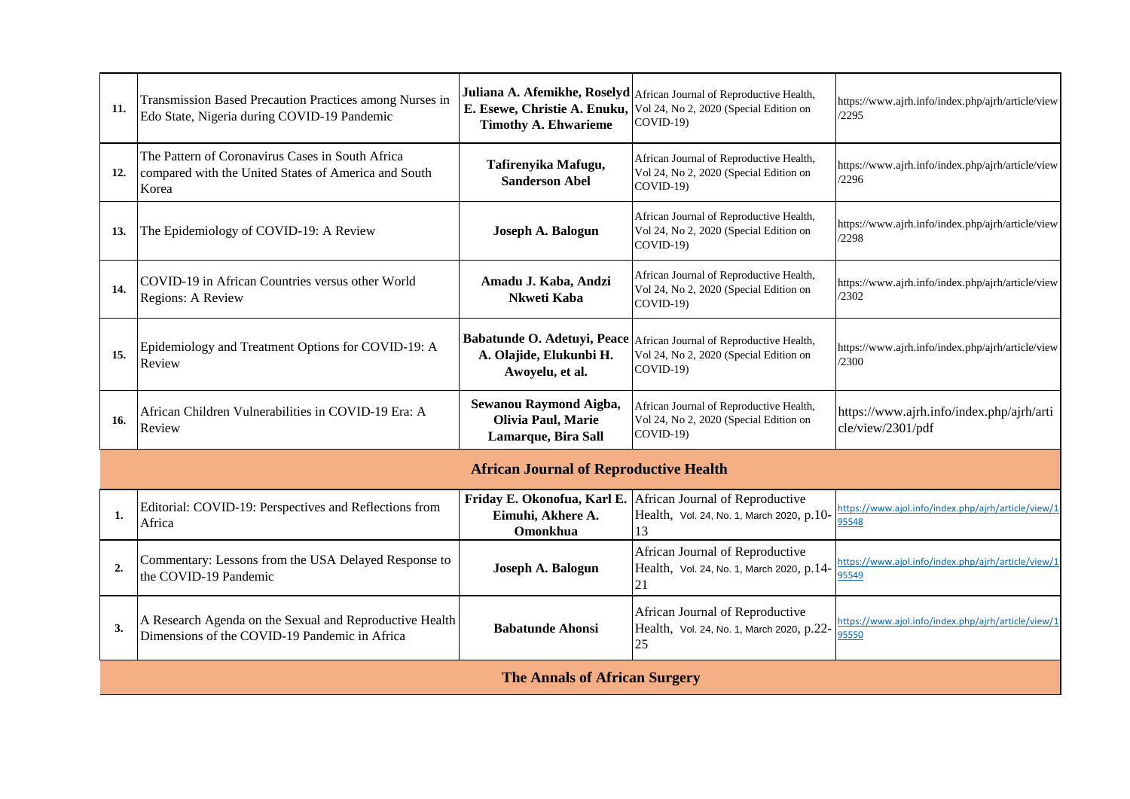| 11.              | Transmission Based Precaution Practices among Nurses in<br>Edo State, Nigeria during COVID-19 Pandemic            | E. Esewe, Christie A. Enuku,<br><b>Timothy A. Ehwarieme</b>         | Juliana A. Afemikhe, Roselyd African Journal of Reproductive Health,<br>Vol 24, No 2, 2020 (Special Edition on<br>COVID-19) | https://www.ajrh.info/index.php/ajrh/article/view<br>/2295     |
|------------------|-------------------------------------------------------------------------------------------------------------------|---------------------------------------------------------------------|-----------------------------------------------------------------------------------------------------------------------------|----------------------------------------------------------------|
| 12.              | The Pattern of Coronavirus Cases in South Africa<br>compared with the United States of America and South<br>Korea | Tafirenyika Mafugu,<br><b>Sanderson Abel</b>                        | African Journal of Reproductive Health,<br>Vol 24, No 2, 2020 (Special Edition on<br>COVID-19)                              | https://www.ajrh.info/index.php/ajrh/article/view<br>/2296     |
| 13.              | The Epidemiology of COVID-19: A Review                                                                            | Joseph A. Balogun                                                   | African Journal of Reproductive Health,<br>Vol 24, No 2, 2020 (Special Edition on<br>COVID-19)                              | https://www.ajrh.info/index.php/ajrh/article/view<br>/2298     |
| 14.              | COVID-19 in African Countries versus other World<br>Regions: A Review                                             | Amadu J. Kaba, Andzi<br>Nkweti Kaba                                 | African Journal of Reproductive Health,<br>Vol 24, No 2, 2020 (Special Edition on<br>COVID-19)                              | https://www.ajrh.info/index.php/ajrh/article/view<br>/2302     |
| 15.              | Epidemiology and Treatment Options for COVID-19: A<br>Review                                                      | A. Olajide, Elukunbi H.<br>Awoyelu, et al.                          | Babatunde O. Adetuyi, Peace African Journal of Reproductive Health,<br>Vol 24, No 2, 2020 (Special Edition on<br>COVID-19)  | https://www.ajrh.info/index.php/ajrh/article/view<br>/2300     |
| 16.              | African Children Vulnerabilities in COVID-19 Era: A<br>Review                                                     | Sewanou Raymond Aigba,<br>Olivia Paul, Marie<br>Lamarque, Bira Sall | African Journal of Reproductive Health,<br>Vol 24, No 2, 2020 (Special Edition on<br>$COVID-19$                             | https://www.ajrh.info/index.php/ajrh/arti<br>cle/view/2301/pdf |
|                  |                                                                                                                   | <b>African Journal of Reproductive Health</b>                       |                                                                                                                             |                                                                |
| 1.               | Editorial: COVID-19: Perspectives and Reflections from<br>Africa                                                  | Eimuhi, Akhere A.<br>Omonkhua                                       | Friday E. Okonofua, Karl E. African Journal of Reproductive<br>Health, Vol. 24, No. 1, March 2020, p.10-<br>13              | https://www.ajol.info/index.php/ajrh/article/view/1<br>95548   |
| $\overline{2}$ . | Commentary: Lessons from the USA Delayed Response to<br>the COVID-19 Pandemic                                     | Joseph A. Balogun                                                   | African Journal of Reproductive<br>Health, Vol. 24, No. 1, March 2020, p.14-<br>21                                          | https://www.ajol.info/index.php/ajrh/article/view/1<br>95549   |
| 3.               | A Research Agenda on the Sexual and Reproductive Health<br>Dimensions of the COVID-19 Pandemic in Africa          | <b>Babatunde Ahonsi</b>                                             | African Journal of Reproductive<br>Health, Vol. 24, No. 1, March 2020, p.22-<br>25                                          | https://www.ajol.info/index.php/ajrh/article/view/1<br>95550   |
|                  |                                                                                                                   | <b>The Annals of African Surgery</b>                                |                                                                                                                             |                                                                |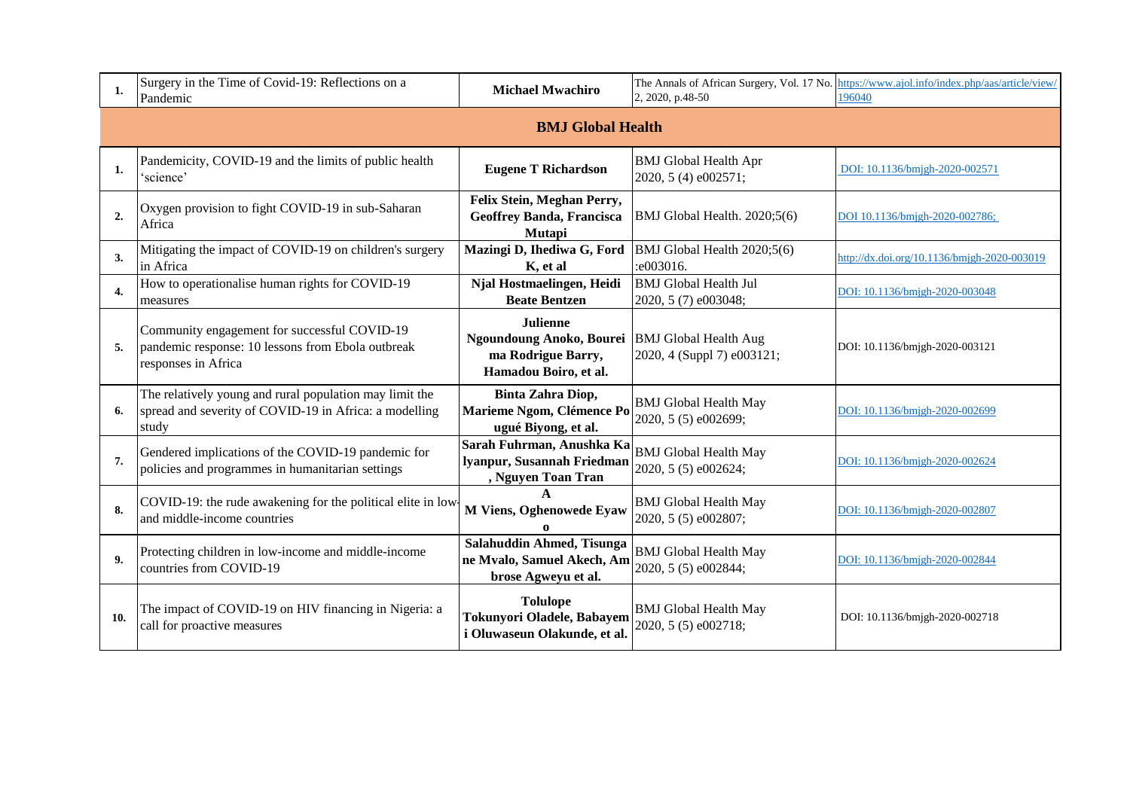| 1.               | Surgery in the Time of Covid-19: Reflections on a<br>Pandemic                                                              | <b>Michael Mwachiro</b>                                                                                          | 2, 2020, p.48-50                                     | The Annals of African Surgery, Vol. 17 No. https://www.ajol.info/index.php/aas/article/view.<br>196040 |  |  |  |
|------------------|----------------------------------------------------------------------------------------------------------------------------|------------------------------------------------------------------------------------------------------------------|------------------------------------------------------|--------------------------------------------------------------------------------------------------------|--|--|--|
|                  | <b>BMJ Global Health</b>                                                                                                   |                                                                                                                  |                                                      |                                                                                                        |  |  |  |
| 1.               | Pandemicity, COVID-19 and the limits of public health<br>'science'                                                         | <b>Eugene T Richardson</b>                                                                                       | <b>BMJ</b> Global Health Apr<br>2020, 5 (4) e002571; | DOI: 10.1136/bmjgh-2020-002571                                                                         |  |  |  |
| $\overline{2}$ . | Oxygen provision to fight COVID-19 in sub-Saharan<br>Africa                                                                | Felix Stein, Meghan Perry,<br><b>Geoffrey Banda, Francisca</b><br>Mutapi                                         | BMJ Global Health. 2020;5(6)                         | DOI 10.1136/bmjgh-2020-002786;                                                                         |  |  |  |
| 3.               | Mitigating the impact of COVID-19 on children's surgery<br>in Africa                                                       | Mazingi D, Ihediwa G, Ford<br>K, et al                                                                           | BMJ Global Health 2020;5(6)<br>:e003016.             | http://dx.doi.org/10.1136/bmjgh-2020-003019                                                            |  |  |  |
| $\overline{4}$ . | How to operationalise human rights for COVID-19<br>measures                                                                | Njal Hostmaelingen, Heidi<br><b>Beate Bentzen</b>                                                                | <b>BMJ</b> Global Health Jul<br>2020, 5 (7) e003048; | DOI: 10.1136/bmjgh-2020-003048                                                                         |  |  |  |
| 5.               | Community engagement for successful COVID-19<br>pandemic response: 10 lessons from Ebola outbreak<br>responses in Africa   | <b>Julienne</b><br>Ngoundoung Anoko, Bourei BMJ Global Health Aug<br>ma Rodrigue Barry,<br>Hamadou Boiro, et al. | 2020, 4 (Suppl 7) e003121;                           | DOI: 10.1136/bmjgh-2020-003121                                                                         |  |  |  |
| 6.               | The relatively young and rural population may limit the<br>spread and severity of COVID-19 in Africa: a modelling<br>study | Binta Zahra Diop,<br>Marieme Ngom, Clémence Po<br>ugué Biyong, et al.                                            | <b>BMJ</b> Global Health May<br>2020, 5 (5) e002699; | DOI: 10.1136/bmjgh-2020-002699                                                                         |  |  |  |
| 7.               | Gendered implications of the COVID-19 pandemic for<br>policies and programmes in humanitarian settings                     | Sarah Fuhrman, Anushka Ka<br>lyanpur, Susannah Friedman<br>, Nguyen Toan Tran                                    | <b>BMJ</b> Global Health May<br>2020, 5 (5) e002624; | DOI: 10.1136/bmjgh-2020-002624                                                                         |  |  |  |
| 8.               | COVID-19: the rude awakening for the political elite in low-<br>and middle-income countries                                | M Viens, Oghenowede Eyaw<br>$\Omega$                                                                             | <b>BMJ</b> Global Health May<br>2020, 5 (5) e002807; | DOI: 10.1136/bmjgh-2020-002807                                                                         |  |  |  |
| 9.               | Protecting children in low-income and middle-income<br>countries from COVID-19                                             | Salahuddin Ahmed, Tisunga<br>ne Mvalo, Samuel Akech, Am<br>brose Agweyu et al.                                   | <b>BMJ</b> Global Health May<br>2020, 5 (5) e002844; | DOI: 10.1136/bmjgh-2020-002844                                                                         |  |  |  |
| 10.              | The impact of COVID-19 on HIV financing in Nigeria: a<br>call for proactive measures                                       | <b>Tolulope</b><br>Tokunyori Oladele, Babayem<br>i Oluwaseun Olakunde, et al.                                    | <b>BMJ</b> Global Health May<br>2020, 5 (5) e002718; | DOI: 10.1136/bmjgh-2020-002718                                                                         |  |  |  |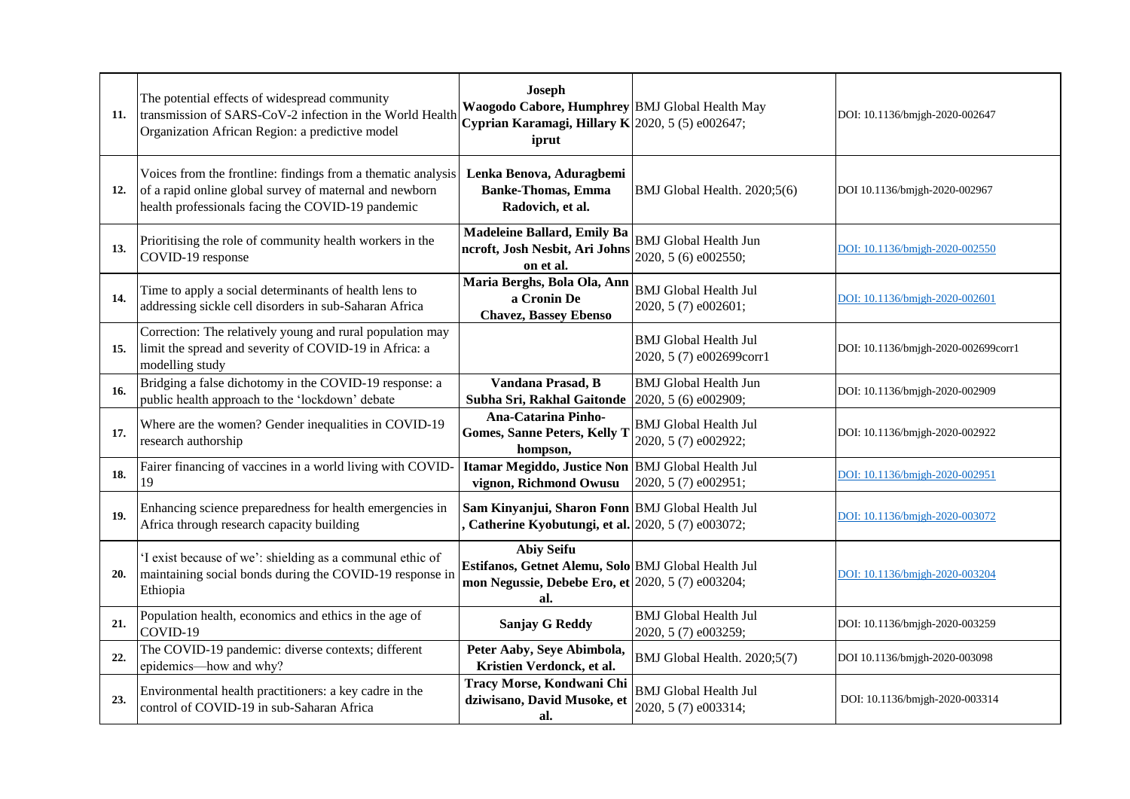| 11. | The potential effects of widespread community<br>transmission of SARS-CoV-2 infection in the World Health<br>Organization African Region: a predictive model                 | <b>Joseph</b><br>Waogodo Cabore, Humphrey BMJ Global Health May<br>Cyprian Karamagi, Hillary K 2020, 5 (5) e002647;<br>iprut         |                                                          | DOI: 10.1136/bmjgh-2020-002647      |
|-----|------------------------------------------------------------------------------------------------------------------------------------------------------------------------------|--------------------------------------------------------------------------------------------------------------------------------------|----------------------------------------------------------|-------------------------------------|
| 12. | Voices from the frontline: findings from a thematic analysis<br>of a rapid online global survey of maternal and newborn<br>health professionals facing the COVID-19 pandemic | Lenka Benova, Aduragbemi<br><b>Banke-Thomas, Emma</b><br>Radovich, et al.                                                            | BMJ Global Health. 2020;5(6)                             | DOI 10.1136/bmjgh-2020-002967       |
| 13. | Prioritising the role of community health workers in the<br>COVID-19 response                                                                                                | Madeleine Ballard, Emily Ba<br>ncroft, Josh Nesbit, Ari Johns<br>on et al.                                                           | <b>BMJ</b> Global Health Jun<br>2020, 5 (6) e002550;     | DOI: 10.1136/bmjgh-2020-002550      |
| 14. | Time to apply a social determinants of health lens to<br>addressing sickle cell disorders in sub-Saharan Africa                                                              | Maria Berghs, Bola Ola, Ann<br>a Cronin De<br><b>Chavez, Bassey Ebenso</b>                                                           | <b>BMJ</b> Global Health Jul<br>2020, 5 (7) e002601;     | DOI: 10.1136/bmjgh-2020-002601      |
| 15. | Correction: The relatively young and rural population may<br>limit the spread and severity of COVID-19 in Africa: a<br>modelling study                                       |                                                                                                                                      | <b>BMJ</b> Global Health Jul<br>2020, 5 (7) e002699corr1 | DOI: 10.1136/bmjgh-2020-002699corr1 |
| 16. | Bridging a false dichotomy in the COVID-19 response: a<br>public health approach to the 'lockdown' debate                                                                    | Vandana Prasad, B<br>Subha Sri, Rakhal Gaitonde                                                                                      | <b>BMJ</b> Global Health Jun<br>2020, 5 (6) e002909;     | DOI: 10.1136/bmjgh-2020-002909      |
| 17. | Where are the women? Gender inequalities in COVID-19<br>research authorship                                                                                                  | <b>Ana-Catarina Pinho-</b><br><b>Gomes, Sanne Peters, Kelly T</b><br>hompson,                                                        | <b>BMJ</b> Global Health Jul<br>2020, 5 (7) e002922;     | DOI: 10.1136/bmjgh-2020-002922      |
| 18. | Fairer financing of vaccines in a world living with COVID-<br>19                                                                                                             | Itamar Megiddo, Justice Non BMJ Global Health Jul<br>vignon, Richmond Owusu                                                          | 2020, 5 (7) e002951;                                     | DOI: 10.1136/bmjgh-2020-002951      |
| 19. | Enhancing science preparedness for health emergencies in<br>Africa through research capacity building                                                                        | Sam Kinyanjui, Sharon Fonn BMJ Global Health Jul<br>Catherine Kyobutungi, et al. 2020, 5 (7) e003072;                                |                                                          | DOI: 10.1136/bmjgh-2020-003072      |
| 20. | 'I exist because of we': shielding as a communal ethic of<br>maintaining social bonds during the COVID-19 response in<br>Ethiopia                                            | <b>Abiy Seifu</b><br>Estifanos, Getnet Alemu, Solo BMJ Global Health Jul<br>mon Negussie, Debebe Ero, et 2020, 5 (7) e003204;<br>al. |                                                          | DOI: 10.1136/bmjgh-2020-003204      |
| 21. | Population health, economics and ethics in the age of<br>COVID-19                                                                                                            | <b>Sanjay G Reddy</b>                                                                                                                | <b>BMJ</b> Global Health Jul<br>2020, 5 (7) e003259;     | DOI: 10.1136/bmjgh-2020-003259      |
| 22. | The COVID-19 pandemic: diverse contexts; different<br>epidemics-how and why?                                                                                                 | Peter Aaby, Seye Abimbola,<br>Kristien Verdonck, et al.                                                                              | BMJ Global Health. 2020;5(7)                             | DOI 10.1136/bmjgh-2020-003098       |
| 23. | Environmental health practitioners: a key cadre in the<br>control of COVID-19 in sub-Saharan Africa                                                                          | Tracy Morse, Kondwani Chi<br>dziwisano, David Musoke, et<br>al.                                                                      | <b>BMJ</b> Global Health Jul<br>2020, 5 (7) e003314;     | DOI: 10.1136/bmjgh-2020-003314      |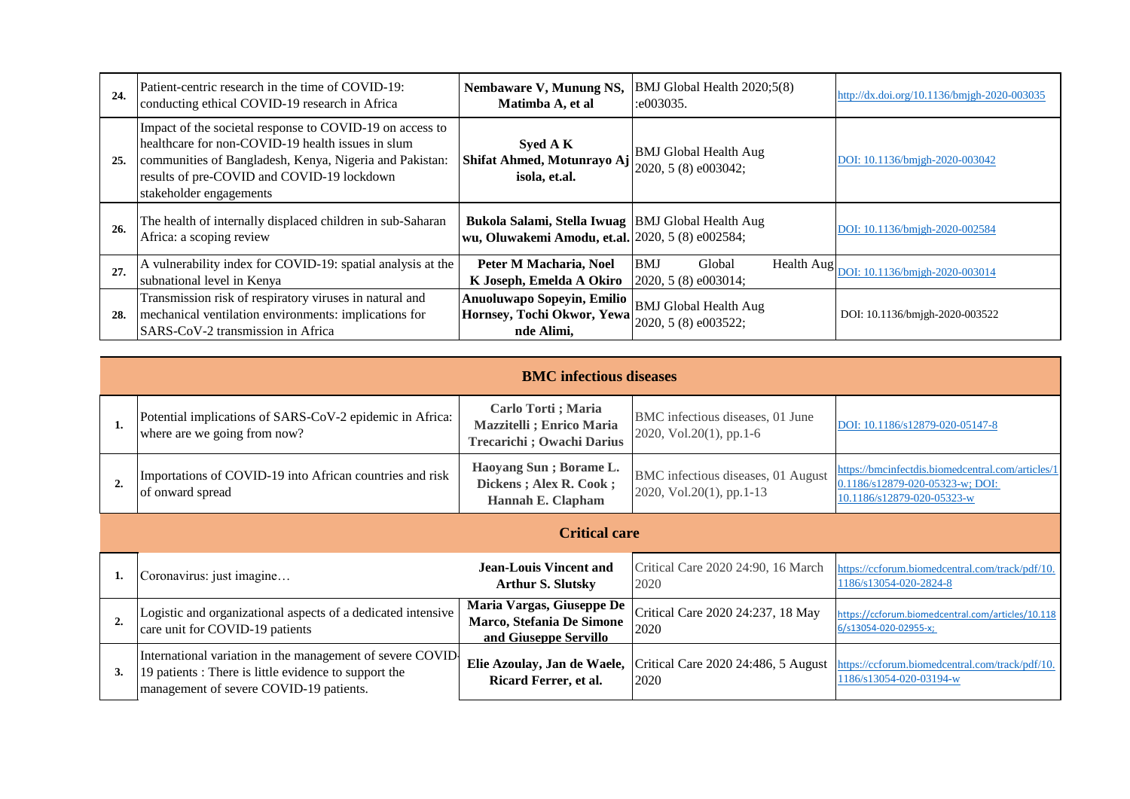| 24. | Patient-centric research in the time of COVID-19:<br>conducting ethical COVID-19 research in Africa                                                                                                                                               | Nembaware V, Munung NS,<br>Matimba A, et al                                                           | BMJ Global Health 2020;5(8)<br>: 003035.             | http://dx.doi.org/10.1136/bmjgh-2020-003035  |
|-----|---------------------------------------------------------------------------------------------------------------------------------------------------------------------------------------------------------------------------------------------------|-------------------------------------------------------------------------------------------------------|------------------------------------------------------|----------------------------------------------|
| 25. | Impact of the societal response to COVID-19 on access to<br>healthcare for non-COVID-19 health issues in slum<br>communities of Bangladesh, Kenya, Nigeria and Pakistan:<br>results of pre-COVID and COVID-19 lockdown<br>stakeholder engagements | Syed A K<br>Shifat Ahmed, Motunrayo Aj<br>isola, et.al.                                               | <b>BMJ</b> Global Health Aug<br>2020, 5 (8) e003042; | DOI: 10.1136/bmjgh-2020-003042               |
| 26. | The health of internally displaced children in sub-Saharan<br>Africa: a scoping review                                                                                                                                                            | Bukola Salami, Stella Iwuag BMJ Global Health Aug<br>wu, Oluwakemi Amodu, et.al. 2020, 5 (8) e002584; |                                                      | DOI: 10.1136/bmjgh-2020-002584               |
| 27. | A vulnerability index for COVID-19: spatial analysis at the<br>subnational level in Kenya                                                                                                                                                         | Peter M Macharia, Noel<br>K Joseph, Emelda A Okiro                                                    | <b>BMJ</b><br>Global<br>2020, 5 (8) e003014;         | Health Aug<br>DOI: 10.1136/bmjgh-2020-003014 |
| 28. | Transmission risk of respiratory viruses in natural and<br>mechanical ventilation environments: implications for<br>SARS-CoV-2 transmission in Africa                                                                                             | Anuoluwapo Sopeyin, Emilio<br>Hornsey, Tochi Okwor, Yewa<br>nde Alimi,                                | <b>BMJ</b> Global Health Aug<br>2020, 5 (8) e003522; | DOI: 10.1136/bmjgh-2020-003522               |

|                | <b>BMC</b> infectious diseases                                                                                                                                 |                                                                                      |                                                                |                                                                                                                    |  |  |
|----------------|----------------------------------------------------------------------------------------------------------------------------------------------------------------|--------------------------------------------------------------------------------------|----------------------------------------------------------------|--------------------------------------------------------------------------------------------------------------------|--|--|
|                | Potential implications of SARS-CoV-2 epidemic in Africa:<br>where are we going from now?                                                                       | Carlo Torti; Maria<br><b>Mazzitelli</b> ; Enrico Maria<br>Trecarichi ; Owachi Darius | BMC infectious diseases, 01 June<br>2020, Vol.20(1), pp.1-6    | DOI: 10.1186/s12879-020-05147-8                                                                                    |  |  |
| $\overline{2}$ | Importations of COVID-19 into African countries and risk<br>of onward spread                                                                                   | Haoyang Sun; Borame L.<br>Dickens; Alex R. Cook;<br>Hannah E. Clapham                | BMC infectious diseases, 01 August<br>2020, Vol.20(1), pp.1-13 | https://bmcinfectdis.biomedcentral.com/articles/1<br>0.1186/s12879-020-05323-w; DOI:<br>10.1186/s12879-020-05323-w |  |  |
|                |                                                                                                                                                                | <b>Critical care</b>                                                                 |                                                                |                                                                                                                    |  |  |
|                | Coronavirus: just imagine                                                                                                                                      | Jean-Louis Vincent and<br><b>Arthur S. Slutsky</b>                                   | Critical Care 2020 24:90, 16 March<br>2020                     | https://ccforum.biomedcentral.com/track/pdf/10.<br>1186/s13054-020-2824-8                                          |  |  |
| $\overline{2}$ | Logistic and organizational aspects of a dedicated intensive<br>care unit for COVID-19 patients                                                                | Maria Vargas, Giuseppe De<br>Marco, Stefania De Simone<br>and Giuseppe Servillo      | Critical Care 2020 24:237, 18 May<br>2020                      | https://ccforum.biomedcentral.com/articles/10.118<br>6/s13054-020-02955-x;                                         |  |  |
| 3.             | International variation in the management of severe COVID-<br>19 patients : There is little evidence to support the<br>management of severe COVID-19 patients. | Elie Azoulay, Jan de Waele,<br>Ricard Ferrer, et al.                                 | Critical Care 2020 24:486, 5 August<br>2020                    | https://ccforum.biomedcentral.com/track/pdf/10.<br>1186/s13054-020-03194-w                                         |  |  |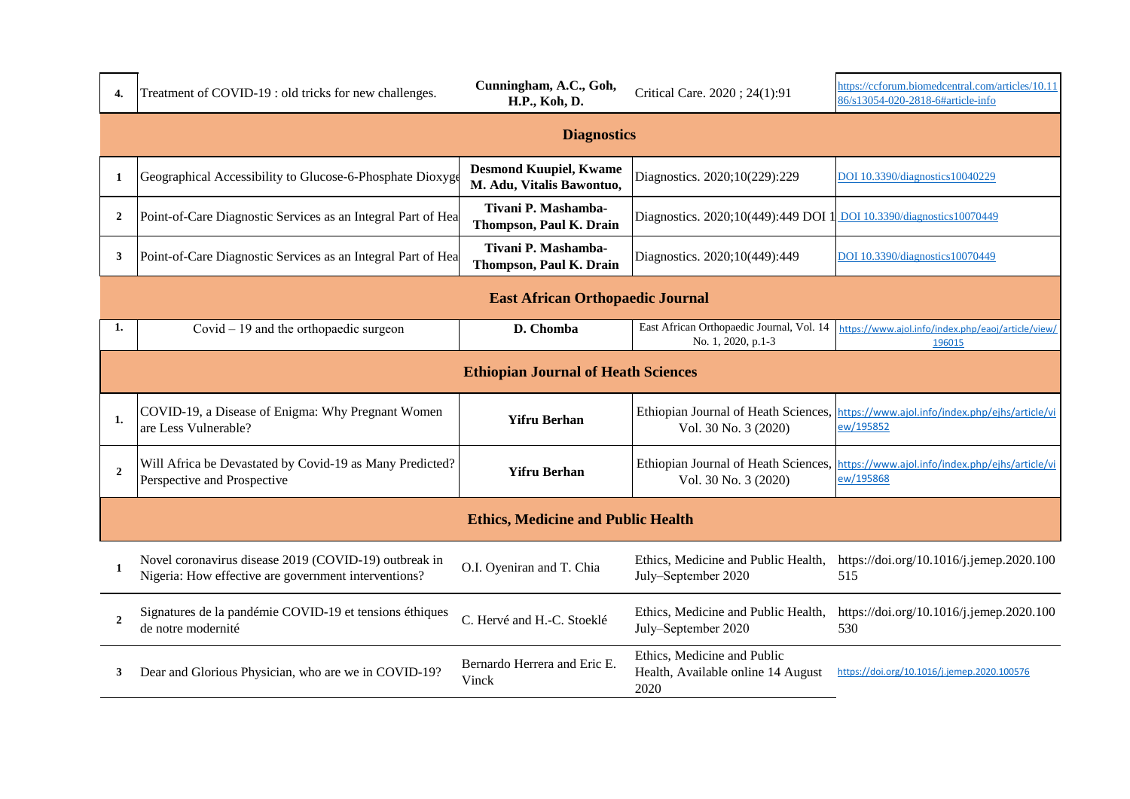| 4.             | Treatment of COVID-19 : old tricks for new challenges.                                                        | Cunningham, A.C., Goh,<br>H.P., Koh, D.                    | Critical Care. 2020; 24(1):91                                             | https://ccforum.biomedcentral.com/articles/10.11<br>86/s13054-020-2818-6#article-info |  |  |  |
|----------------|---------------------------------------------------------------------------------------------------------------|------------------------------------------------------------|---------------------------------------------------------------------------|---------------------------------------------------------------------------------------|--|--|--|
|                | <b>Diagnostics</b>                                                                                            |                                                            |                                                                           |                                                                                       |  |  |  |
| -1             | Geographical Accessibility to Glucose-6-Phosphate Dioxyge                                                     | <b>Desmond Kuupiel, Kwame</b><br>M. Adu, Vitalis Bawontuo, | Diagnostics. 2020;10(229):229                                             | DOI 10.3390/diagnostics10040229                                                       |  |  |  |
| $\overline{2}$ | Point-of-Care Diagnostic Services as an Integral Part of Hea                                                  | Tivani P. Mashamba-<br>Thompson, Paul K. Drain             | Diagnostics. 2020;10(449):449 DOI 1                                       | DOI 10.3390/diagnostics10070449                                                       |  |  |  |
| 3              | Point-of-Care Diagnostic Services as an Integral Part of Hea                                                  | Tivani P. Mashamba-<br>Thompson, Paul K. Drain             | Diagnostics. 2020;10(449):449                                             | DOI 10.3390/diagnostics10070449                                                       |  |  |  |
|                | <b>East African Orthopaedic Journal</b>                                                                       |                                                            |                                                                           |                                                                                       |  |  |  |
| 1.             | Covid $-19$ and the orthopaedic surgeon                                                                       | D. Chomba                                                  | East African Orthopaedic Journal, Vol. 14<br>No. 1, 2020, p.1-3           | https://www.ajol.info/index.php/eaoj/article/view/<br>196015                          |  |  |  |
|                |                                                                                                               | <b>Ethiopian Journal of Heath Sciences</b>                 |                                                                           |                                                                                       |  |  |  |
| 1.             | COVID-19, a Disease of Enigma: Why Pregnant Women<br>are Less Vulnerable?                                     | <b>Yifru Berhan</b>                                        | Ethiopian Journal of Heath Sciences,<br>Vol. 30 No. 3 (2020)              | https://www.ajol.info/index.php/ejhs/article/vi<br>ew/195852                          |  |  |  |
| $\overline{2}$ | Will Africa be Devastated by Covid-19 as Many Predicted?<br>Perspective and Prospective                       | <b>Yifru Berhan</b>                                        | Ethiopian Journal of Heath Sciences,<br>Vol. 30 No. 3 (2020)              | https://www.ajol.info/index.php/ejhs/article/vi<br>ew/195868                          |  |  |  |
|                |                                                                                                               | <b>Ethics, Medicine and Public Health</b>                  |                                                                           |                                                                                       |  |  |  |
| $\mathbf 1$    | Novel coronavirus disease 2019 (COVID-19) outbreak in<br>Nigeria: How effective are government interventions? | O.I. Oyeniran and T. Chia                                  | Ethics, Medicine and Public Health,<br>July-September 2020                | https://doi.org/10.1016/j.jemep.2020.100<br>515                                       |  |  |  |
| $\overline{2}$ | Signatures de la pandémie COVID-19 et tensions éthiques<br>de notre modernité                                 | C. Hervé and H.-C. Stoeklé                                 | Ethics, Medicine and Public Health,<br>July-September 2020                | https://doi.org/10.1016/j.jemep.2020.100<br>530                                       |  |  |  |
| 3              | Dear and Glorious Physician, who are we in COVID-19?                                                          | Bernardo Herrera and Eric E.<br>Vinck                      | Ethics, Medicine and Public<br>Health, Available online 14 August<br>2020 | https://doi.org/10.1016/j.jemep.2020.100576                                           |  |  |  |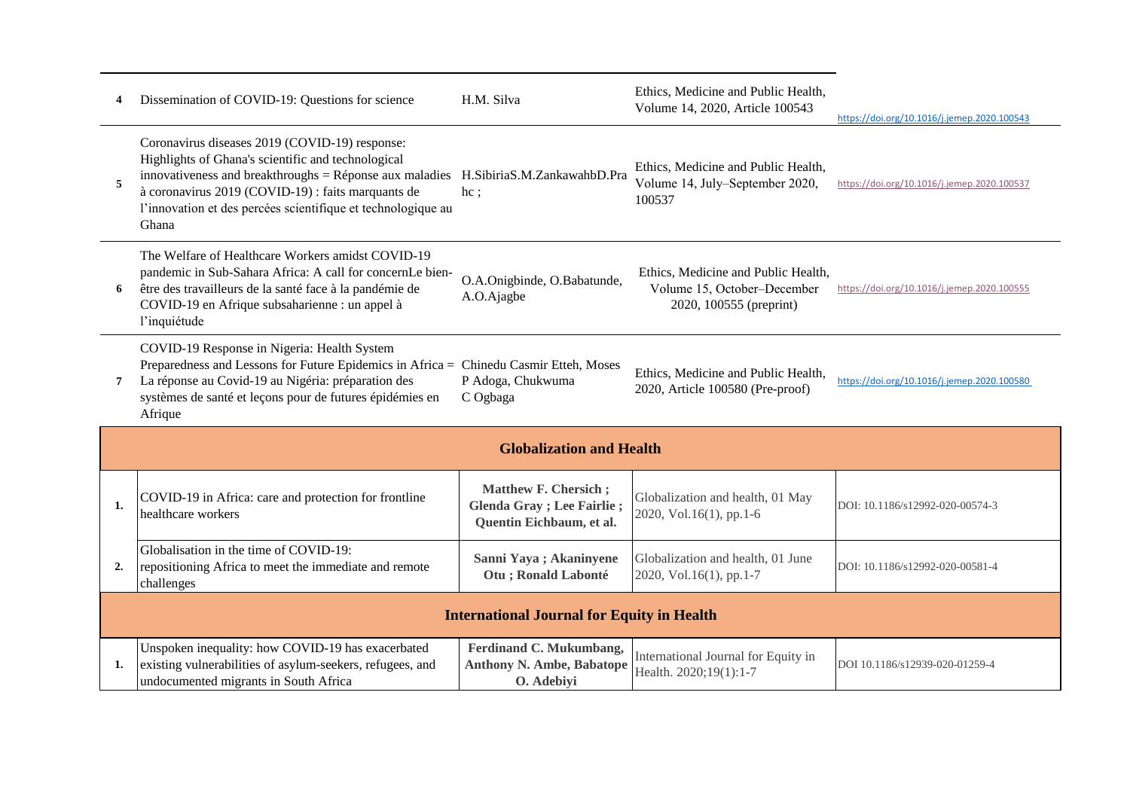| 4              | Dissemination of COVID-19: Questions for science                                                                                                                                                                                                                                                 | H.M. Silva                                                                                   | Ethics, Medicine and Public Health,<br>Volume 14, 2020, Article 100543                        | https://doi.org/10.1016/j.jemep.2020.100543 |  |
|----------------|--------------------------------------------------------------------------------------------------------------------------------------------------------------------------------------------------------------------------------------------------------------------------------------------------|----------------------------------------------------------------------------------------------|-----------------------------------------------------------------------------------------------|---------------------------------------------|--|
| 5              | Coronavirus diseases 2019 (COVID-19) response:<br>Highlights of Ghana's scientific and technological<br>innovativeness and breakthroughs $=$ Réponse aux maladies<br>à coronavirus 2019 (COVID-19) : faits marquants de<br>l'innovation et des percées scientifique et technologique au<br>Ghana | H.SibiriaS.M.ZankawahbD.Pra<br>$hc$ ;                                                        | Ethics, Medicine and Public Health,<br>Volume 14, July-September 2020,<br>100537              | https://doi.org/10.1016/j.jemep.2020.100537 |  |
| 6              | The Welfare of Healthcare Workers amidst COVID-19<br>pandemic in Sub-Sahara Africa: A call for concernLe bien-<br>être des travailleurs de la santé face à la pandémie de<br>COVID-19 en Afrique subsaharienne : un appel à<br>l'inquiétude                                                      | O.A.Onigbinde, O.Babatunde,<br>A.O.Ajagbe                                                    | Ethics, Medicine and Public Health,<br>Volume 15, October-December<br>2020, 100555 (preprint) | https://doi.org/10.1016/j.jemep.2020.100555 |  |
| $\overline{7}$ | COVID-19 Response in Nigeria: Health System<br>Preparedness and Lessons for Future Epidemics in Africa = Chinedu Casmir Etteh, Moses<br>La réponse au Covid-19 au Nigéria: préparation des<br>systèmes de santé et leçons pour de futures épidémies en<br>Afrique                                | P Adoga, Chukwuma<br>C Ogbaga                                                                | Ethics, Medicine and Public Health,<br>2020, Article 100580 (Pre-proof)                       | https://doi.org/10.1016/j.jemep.2020.100580 |  |
|                |                                                                                                                                                                                                                                                                                                  | <b>Globalization and Health</b>                                                              |                                                                                               |                                             |  |
| 1.             | COVID-19 in Africa: care and protection for frontline<br>healthcare workers                                                                                                                                                                                                                      | <b>Matthew F. Chersich;</b><br><b>Glenda Gray</b> ; Lee Fairlie;<br>Quentin Eichbaum, et al. | Globalization and health, 01 May<br>2020, Vol.16(1), pp.1-6                                   | DOI: 10.1186/s12992-020-00574-3             |  |
| 2.             | Globalisation in the time of COVID-19:<br>repositioning Africa to meet the immediate and remote<br>challenges                                                                                                                                                                                    | Sanni Yaya; Akaninyene<br>Otu ; Ronald Labonté                                               | Globalization and health, 01 June<br>2020, Vol.16(1), pp.1-7                                  | DOI: 10.1186/s12992-020-00581-4             |  |
|                | <b>International Journal for Equity in Health</b>                                                                                                                                                                                                                                                |                                                                                              |                                                                                               |                                             |  |
| 1.             | Unspoken inequality: how COVID-19 has exacerbated<br>existing vulnerabilities of asylum-seekers, refugees, and<br>undocumented migrants in South Africa                                                                                                                                          | Ferdinand C. Mukumbang,<br><b>Anthony N. Ambe, Babatope</b><br>O. Adebiyi                    | International Journal for Equity in<br>Health. 2020;19(1):1-7                                 | DOI 10.1186/s12939-020-01259-4              |  |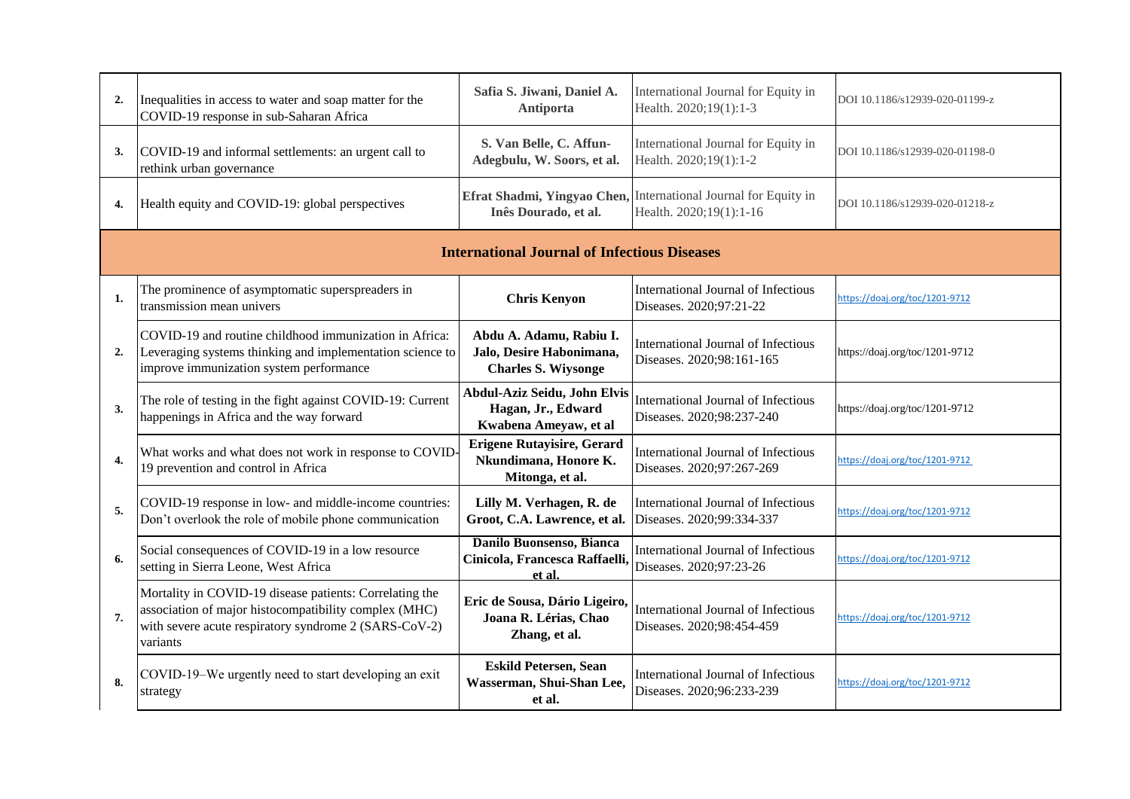| 2.             | Inequalities in access to water and soap matter for the                                                                                                                               | Safia S. Jiwani, Daniel A.                                                        | International Journal for Equity in                                                        | DOI 10.1186/s12939-020-01199-z |  |
|----------------|---------------------------------------------------------------------------------------------------------------------------------------------------------------------------------------|-----------------------------------------------------------------------------------|--------------------------------------------------------------------------------------------|--------------------------------|--|
|                | COVID-19 response in sub-Saharan Africa                                                                                                                                               | <b>Antiporta</b>                                                                  | Health. 2020;19(1):1-3                                                                     |                                |  |
| 3.             | COVID-19 and informal settlements: an urgent call to<br>rethink urban governance                                                                                                      | S. Van Belle, C. Affun-<br>Adegbulu, W. Soors, et al.                             | International Journal for Equity in<br>Health. 2020;19(1):1-2                              | DOI 10.1186/s12939-020-01198-0 |  |
| 4.             | Health equity and COVID-19: global perspectives                                                                                                                                       | Inês Dourado, et al.                                                              | Efrat Shadmi, Yingyao Chen, International Journal for Equity in<br>Health. 2020;19(1):1-16 | DOI 10.1186/s12939-020-01218-z |  |
|                | <b>International Journal of Infectious Diseases</b>                                                                                                                                   |                                                                                   |                                                                                            |                                |  |
| 1.             | The prominence of asymptomatic superspreaders in<br>transmission mean univers                                                                                                         | <b>Chris Kenyon</b>                                                               | International Journal of Infectious<br>Diseases. 2020;97:21-22                             | https://doaj.org/toc/1201-9712 |  |
| $\overline{2}$ | COVID-19 and routine childhood immunization in Africa:<br>Leveraging systems thinking and implementation science to<br>improve immunization system performance                        | Abdu A. Adamu, Rabiu I.<br>Jalo, Desire Habonimana,<br><b>Charles S. Wiysonge</b> | International Journal of Infectious<br>Diseases. 2020;98:161-165                           | https://doaj.org/toc/1201-9712 |  |
| 3.             | The role of testing in the fight against COVID-19: Current<br>happenings in Africa and the way forward                                                                                | Abdul-Aziz Seidu, John Elvis<br>Hagan, Jr., Edward<br>Kwabena Ameyaw, et al       | International Journal of Infectious<br>Diseases. 2020;98:237-240                           | https://doaj.org/toc/1201-9712 |  |
| 4.             | What works and what does not work in response to COVID-<br>19 prevention and control in Africa                                                                                        | <b>Erigene Rutayisire, Gerard</b><br>Nkundimana, Honore K.<br>Mitonga, et al.     | International Journal of Infectious<br>Diseases. 2020;97:267-269                           | https://doaj.org/toc/1201-9712 |  |
| 5.             | COVID-19 response in low- and middle-income countries:<br>Don't overlook the role of mobile phone communication                                                                       | Lilly M. Verhagen, R. de<br>Groot, C.A. Lawrence, et al.                          | International Journal of Infectious<br>Diseases. 2020;99:334-337                           | https://doaj.org/toc/1201-9712 |  |
| 6.             | Social consequences of COVID-19 in a low resource<br>setting in Sierra Leone, West Africa                                                                                             | Danilo Buonsenso, Bianca<br>Cinicola, Francesca Raffaelli,<br>et al.              | International Journal of Infectious<br>Diseases. 2020;97:23-26                             | https://doaj.org/toc/1201-9712 |  |
| 7.             | Mortality in COVID-19 disease patients: Correlating the<br>association of major histocompatibility complex (MHC)<br>with severe acute respiratory syndrome 2 (SARS-CoV-2)<br>variants | Eric de Sousa, Dário Ligeiro,<br>Joana R. Lérias, Chao<br>Zhang, et al.           | International Journal of Infectious<br>Diseases. 2020;98:454-459                           | https://doaj.org/toc/1201-9712 |  |
| 8.             | COVID-19-We urgently need to start developing an exit<br>strategy                                                                                                                     | <b>Eskild Petersen, Sean</b><br>Wasserman, Shui-Shan Lee,<br>et al.               | International Journal of Infectious<br>Diseases. 2020;96:233-239                           | https://doaj.org/toc/1201-9712 |  |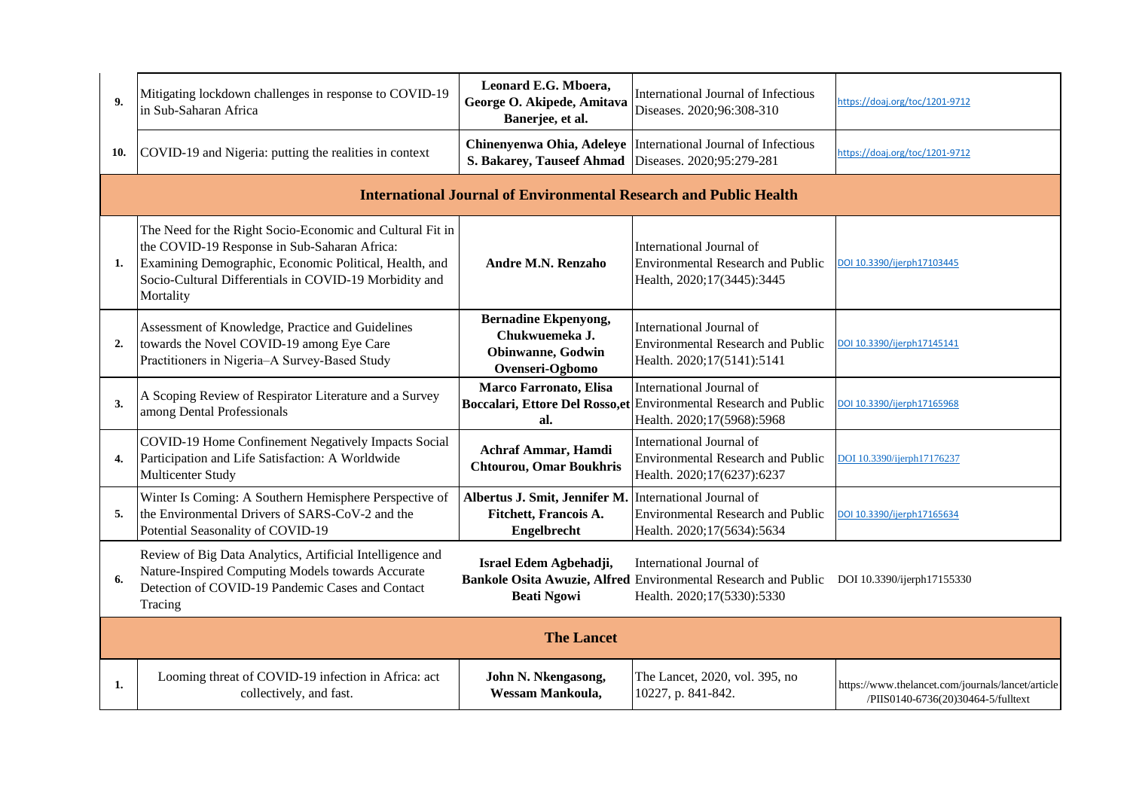| 9 <sub>1</sub> | Mitigating lockdown challenges in response to COVID-19<br>in Sub-Saharan Africa                                                                                                                                                            | Leonard E.G. Mboera,<br>George O. Akipede, Amitava<br>Banerjee, et al.                        | International Journal of Infectious<br>Diseases. 2020;96:308-310                                                                                    | https://doaj.org/toc/1201-9712                                                          |
|----------------|--------------------------------------------------------------------------------------------------------------------------------------------------------------------------------------------------------------------------------------------|-----------------------------------------------------------------------------------------------|-----------------------------------------------------------------------------------------------------------------------------------------------------|-----------------------------------------------------------------------------------------|
| 10.            | COVID-19 and Nigeria: putting the realities in context                                                                                                                                                                                     | S. Bakarey, Tauseef Ahmad                                                                     | Chinenyenwa Ohia, Adeleye   International Journal of Infectious<br>Diseases. 2020;95:279-281                                                        | https://doaj.org/toc/1201-9712                                                          |
|                |                                                                                                                                                                                                                                            | <b>International Journal of Environmental Research and Public Health</b>                      |                                                                                                                                                     |                                                                                         |
| 1.             | The Need for the Right Socio-Economic and Cultural Fit in<br>the COVID-19 Response in Sub-Saharan Africa:<br>Examining Demographic, Economic Political, Health, and<br>Socio-Cultural Differentials in COVID-19 Morbidity and<br>Mortality | Andre M.N. Renzaho                                                                            | International Journal of<br><b>Environmental Research and Public</b><br>Health, 2020;17(3445):3445                                                  | DOI 10.3390/ijerph17103445                                                              |
| 2.             | Assessment of Knowledge, Practice and Guidelines<br>towards the Novel COVID-19 among Eye Care<br>Practitioners in Nigeria-A Survey-Based Study                                                                                             | <b>Bernadine Ekpenyong,</b><br>Chukwuemeka J.<br><b>Obinwanne</b> , Godwin<br>Ovenseri-Ogbomo | International Journal of<br>Environmental Research and Public<br>Health. 2020;17(5141):5141                                                         | DOI 10.3390/ijerph17145141                                                              |
| 3.             | A Scoping Review of Respirator Literature and a Survey<br>among Dental Professionals                                                                                                                                                       | Marco Farronato, Elisa<br>al.                                                                 | International Journal of<br>Boccalari, Ettore Del Rosso, et Environmental Research and Public<br>Health. 2020;17(5968):5968                         | DOI 10.3390/ijerph17165968                                                              |
| 4.             | COVID-19 Home Confinement Negatively Impacts Social<br>Participation and Life Satisfaction: A Worldwide<br>Multicenter Study                                                                                                               | Achraf Ammar, Hamdi<br><b>Chtourou, Omar Boukhris</b>                                         | International Journal of<br><b>Environmental Research and Public</b><br>Health. 2020;17(6237):6237                                                  | DOI 10.3390/ijerph17176237                                                              |
| 5.             | Winter Is Coming: A Southern Hemisphere Perspective of<br>the Environmental Drivers of SARS-CoV-2 and the<br>Potential Seasonality of COVID-19                                                                                             | Albertus J. Smit, Jennifer M.<br>Fitchett, Francois A.<br>Engelbrecht                         | International Journal of<br><b>Environmental Research and Public</b><br>Health. 2020;17(5634):5634                                                  | 00110.3390/ijerph17165634                                                               |
| 6.             | Review of Big Data Analytics, Artificial Intelligence and<br>Nature-Inspired Computing Models towards Accurate<br>Detection of COVID-19 Pandemic Cases and Contact<br>Tracing                                                              | Israel Edem Agbehadji,<br><b>Beati Ngowi</b>                                                  | International Journal of<br>Bankole Osita Awuzie, Alfred Environmental Research and Public DOI 10.3390/ijerph17155330<br>Health. 2020;17(5330):5330 |                                                                                         |
|                | <b>The Lancet</b>                                                                                                                                                                                                                          |                                                                                               |                                                                                                                                                     |                                                                                         |
| 1.             | Looming threat of COVID-19 infection in Africa: act<br>collectively, and fast.                                                                                                                                                             | John N. Nkengasong,<br>Wessam Mankoula,                                                       | The Lancet, 2020, vol. 395, no<br>10227, p. 841-842.                                                                                                | https://www.thelancet.com/journals/lancet/article<br>/PIIS0140-6736(20)30464-5/fulltext |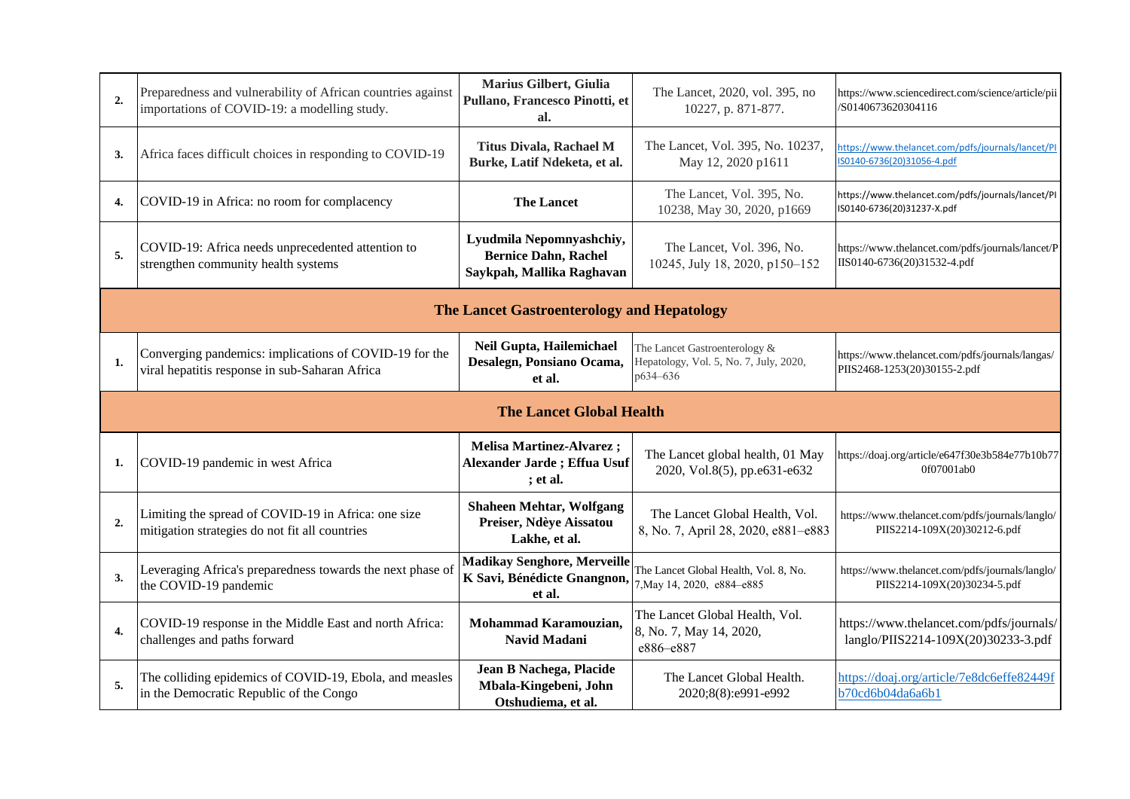| 2.                              | Preparedness and vulnerability of African countries against<br>importations of COVID-19: a modelling study. | Marius Gilbert, Giulia<br>Pullano, Francesco Pinotti, et<br>al.                      | The Lancet, 2020, vol. 395, no<br>10227, p. 871-877.                                | https://www.sciencedirect.com/science/article/pii<br>S0140673620304116          |
|---------------------------------|-------------------------------------------------------------------------------------------------------------|--------------------------------------------------------------------------------------|-------------------------------------------------------------------------------------|---------------------------------------------------------------------------------|
| 3.                              | Africa faces difficult choices in responding to COVID-19                                                    | <b>Titus Divala, Rachael M</b><br>Burke, Latif Ndeketa, et al.                       | The Lancet, Vol. 395, No. 10237,<br>May 12, 2020 p1611                              | https://www.thelancet.com/pdfs/journals/lancet/PI<br>S0140-6736(20)31056-4.pdf  |
| 4.                              | COVID-19 in Africa: no room for complacency                                                                 | <b>The Lancet</b>                                                                    | The Lancet, Vol. 395, No.<br>10238, May 30, 2020, p1669                             | https://www.thelancet.com/pdfs/journals/lancet/PI<br>IS0140-6736(20)31237-X.pdf |
| 5.                              | COVID-19: Africa needs unprecedented attention to<br>strengthen community health systems                    | Lyudmila Nepomnyashchiy,<br><b>Bernice Dahn, Rachel</b><br>Saykpah, Mallika Raghavan | The Lancet, Vol. 396, No.<br>10245, July 18, 2020, p150-152                         | https://www.thelancet.com/pdfs/journals/lancet/P<br>IIS0140-6736(20)31532-4.pdf |
|                                 |                                                                                                             | The Lancet Gastroenterology and Hepatology                                           |                                                                                     |                                                                                 |
| 1.                              | Converging pandemics: implications of COVID-19 for the<br>viral hepatitis response in sub-Saharan Africa    | Neil Gupta, Hailemichael<br>Desalegn, Ponsiano Ocama,<br>et al.                      | The Lancet Gastroenterology &<br>Hepatology, Vol. 5, No. 7, July, 2020,<br>p634-636 | https://www.thelancet.com/pdfs/journals/langas/<br>PIIS2468-1253(20)30155-2.pdf |
| <b>The Lancet Global Health</b> |                                                                                                             |                                                                                      |                                                                                     |                                                                                 |
|                                 |                                                                                                             |                                                                                      |                                                                                     |                                                                                 |
| 1.                              | COVID-19 pandemic in west Africa                                                                            | <b>Melisa Martinez-Alvarez;</b><br>Alexander Jarde; Effua Usuf<br>; et al.           | The Lancet global health, 01 May<br>2020, Vol.8(5), pp.e631-e632                    | https://doaj.org/article/e647f30e3b584e77b10b77<br>0f07001ab0                   |
| $\overline{2}$                  | Limiting the spread of COVID-19 in Africa: one size<br>mitigation strategies do not fit all countries       | <b>Shaheen Mehtar, Wolfgang</b><br>Preiser, Ndèye Aissatou<br>Lakhe, et al.          | The Lancet Global Health, Vol.<br>8, No. 7, April 28, 2020, e881-e883               | https://www.thelancet.com/pdfs/journals/langlo/<br>PIIS2214-109X(20)30212-6.pdf |
| 3.                              | Leveraging Africa's preparedness towards the next phase of<br>the COVID-19 pandemic                         | <b>Madikay Senghore, Merveille</b><br>K Savi, Bénédicte Gnangnon,<br>et al.          | The Lancet Global Health, Vol. 8, No.<br>7, May 14, 2020, e884-e885                 | https://www.thelancet.com/pdfs/journals/langlo/<br>PIIS2214-109X(20)30234-5.pdf |
| 4.                              | COVID-19 response in the Middle East and north Africa:<br>challenges and paths forward                      | Mohammad Karamouzian,<br>Navid Madani                                                | The Lancet Global Health, Vol.<br>8, No. 7, May 14, 2020,<br>e886-e887              | https://www.thelancet.com/pdfs/journals/<br>langlo/PIIS2214-109X(20)30233-3.pdf |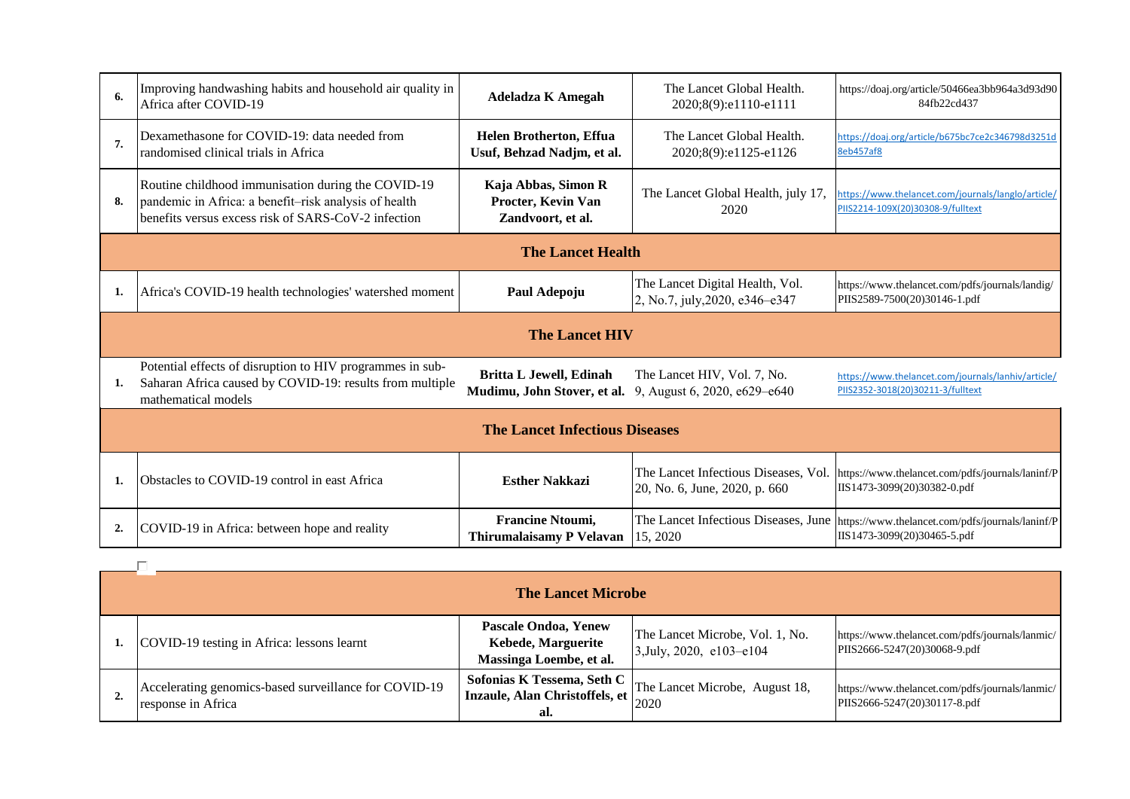| 6.             | Improving handwashing habits and household air quality in<br>Africa after COVID-19                                                                                 | <b>Adeladza K Amegah</b>                                       | The Lancet Global Health.<br>2020;8(9):e1110-e1111                    | https://doaj.org/article/50466ea3bb964a3d93d90<br>84fb22cd437                                                          |  |
|----------------|--------------------------------------------------------------------------------------------------------------------------------------------------------------------|----------------------------------------------------------------|-----------------------------------------------------------------------|------------------------------------------------------------------------------------------------------------------------|--|
| 7.             | Dexamethasone for COVID-19: data needed from<br>randomised clinical trials in Africa                                                                               | <b>Helen Brotherton, Effua</b><br>Usuf, Behzad Nadjm, et al.   | The Lancet Global Health.<br>2020;8(9):e1125-e1126                    | https://doai.org/article/b675bc7ce2c346798d3251d<br>8eb457af8                                                          |  |
| 8.             | Routine childhood immunisation during the COVID-19<br>pandemic in Africa: a benefit-risk analysis of health<br>benefits versus excess risk of SARS-CoV-2 infection | Kaja Abbas, Simon R<br>Procter, Kevin Van<br>Zandvoort, et al. | The Lancet Global Health, july 17,<br>2020                            | https://www.thelancet.com/journals/langlo/article/<br>PIIS2214-109X(20)30308-9/fulltext                                |  |
|                |                                                                                                                                                                    | <b>The Lancet Health</b>                                       |                                                                       |                                                                                                                        |  |
|                | Africa's COVID-19 health technologies' watershed moment                                                                                                            | Paul Adepoju                                                   | The Lancet Digital Health, Vol.<br>2, No.7, july, 2020, e346–e347     | https://www.thelancet.com/pdfs/journals/landig/<br>PIIS2589-7500(20)30146-1.pdf                                        |  |
|                |                                                                                                                                                                    | <b>The Lancet HIV</b>                                          |                                                                       |                                                                                                                        |  |
| 1.             | Potential effects of disruption to HIV programmes in sub-<br>Saharan Africa caused by COVID-19: results from multiple<br>mathematical models                       | <b>Britta L Jewell, Edinah</b><br>Mudimu, John Stover, et al.  | The Lancet HIV, Vol. 7, No.<br>9, August 6, 2020, e629–e640           | https://www.thelancet.com/journals/lanhiv/article/<br>PIIS2352-3018(20)30211-3/fulltext                                |  |
|                | <b>The Lancet Infectious Diseases</b>                                                                                                                              |                                                                |                                                                       |                                                                                                                        |  |
| 1.             | Obstacles to COVID-19 control in east Africa                                                                                                                       | <b>Esther Nakkazi</b>                                          | The Lancet Infectious Diseases, Vol.<br>20, No. 6, June, 2020, p. 660 | https://www.thelancet.com/pdfs/journals/laninf/P<br>IIS1473-3099(20)30382-0.pdf                                        |  |
| $\overline{2}$ | COVID-19 in Africa: between hope and reality                                                                                                                       | <b>Francine Ntoumi,</b><br>Thirumalaisamy P Velavan            | 15, 2020                                                              | The Lancet Infectious Diseases, June   https://www.thelancet.com/pdfs/journals/laninf/P<br>IIS1473-3099(20)30465-5.pdf |  |

| <b>The Lancet Microbe</b>                                                   |                                                                                            |                                                                |                                                                                 |  |
|-----------------------------------------------------------------------------|--------------------------------------------------------------------------------------------|----------------------------------------------------------------|---------------------------------------------------------------------------------|--|
| COVID-19 testing in Africa: lessons learnt                                  | Pascale Ondoa, Yenew<br>Kebede, Marguerite<br>Massinga Loembe, et al.                      | The Lancet Microbe, Vol. 1, No.<br>$3$ , July, 2020, e103–e104 | https://www.thelancet.com/pdfs/journals/lanmic/<br>PIIS2666-5247(20)30068-9.pdf |  |
| Accelerating genomics-based surveillance for COVID-19<br>response in Africa | Sofonias K Tessema, Seth C<br>  Inzaule, Alan Christoffels, et $\Big _{2020}^{202}$<br>al. | The Lancet Microbe, August 18,                                 | https://www.thelancet.com/pdfs/journals/lanmic/<br>PIIS2666-5247(20)30117-8.pdf |  |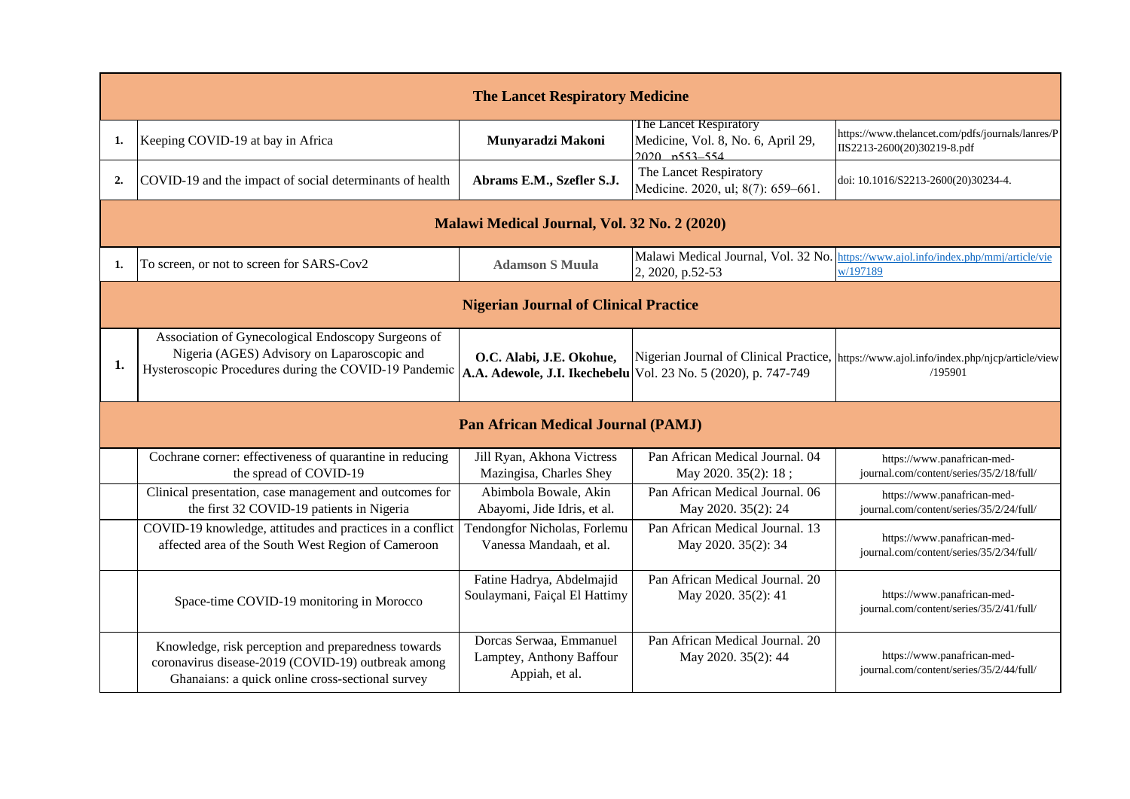|    | <b>The Lancet Respiratory Medicine</b>                                                                                                                        |                                                                       |                                                                                     |                                                                                                      |
|----|---------------------------------------------------------------------------------------------------------------------------------------------------------------|-----------------------------------------------------------------------|-------------------------------------------------------------------------------------|------------------------------------------------------------------------------------------------------|
| 1. | Keeping COVID-19 at bay in Africa                                                                                                                             | Munyaradzi Makoni                                                     | The Lancet Respiratory<br>Medicine, Vol. 8, No. 6, April 29,<br>$2020$ $n553 - 554$ | https://www.thelancet.com/pdfs/journals/lanres/P<br>IIS2213-2600(20)30219-8.pdf                      |
| 2. | COVID-19 and the impact of social determinants of health                                                                                                      | Abrams E.M., Szefler S.J.                                             | The Lancet Respiratory<br>Medicine. 2020, ul; 8(7): 659-661.                        | doi: 10.1016/S2213-2600(20)30234-4.                                                                  |
|    |                                                                                                                                                               | Malawi Medical Journal, Vol. 32 No. 2 (2020)                          |                                                                                     |                                                                                                      |
| 1. | To screen, or not to screen for SARS-Cov2                                                                                                                     | <b>Adamson S Muula</b>                                                | 2, 2020, p.52-53                                                                    | Malawi Medical Journal, Vol. 32 No. https://www.ajol.info/index.php/mmj/article/vie<br>w/197189      |
|    |                                                                                                                                                               | <b>Nigerian Journal of Clinical Practice</b>                          |                                                                                     |                                                                                                      |
| 1. | Association of Gynecological Endoscopy Surgeons of<br>Nigeria (AGES) Advisory on Laparoscopic and<br>Hysteroscopic Procedures during the COVID-19 Pandemic    | O.C. Alabi, J.E. Okohue,                                              | A.A. Adewole, J.I. Ikechebelu   Vol. 23 No. 5 (2020), p. 747-749                    | Nigerian Journal of Clinical Practice,  https://www.ajol.info/index.php/njcp/article/view<br>/195901 |
|    |                                                                                                                                                               | <b>Pan African Medical Journal (PAMJ)</b>                             |                                                                                     |                                                                                                      |
|    | Cochrane corner: effectiveness of quarantine in reducing<br>the spread of COVID-19                                                                            | Jill Ryan, Akhona Victress<br>Mazingisa, Charles Shey                 | Pan African Medical Journal. 04<br>May 2020. 35(2): 18;                             | https://www.panafrican-med-<br>journal.com/content/series/35/2/18/full/                              |
|    | Clinical presentation, case management and outcomes for<br>the first 32 COVID-19 patients in Nigeria                                                          | Abimbola Bowale, Akin<br>Abayomi, Jide Idris, et al.                  | Pan African Medical Journal. 06<br>May 2020. 35(2): 24                              | https://www.panafrican-med-<br>journal.com/content/series/35/2/24/full/                              |
|    | COVID-19 knowledge, attitudes and practices in a conflict<br>affected area of the South West Region of Cameroon                                               | Tendongfor Nicholas, Forlemu<br>Vanessa Mandaah, et al.               | Pan African Medical Journal. 13<br>May 2020. 35(2): 34                              | https://www.panafrican-med-<br>journal.com/content/series/35/2/34/full/                              |
|    | Space-time COVID-19 monitoring in Morocco                                                                                                                     | Fatine Hadrya, Abdelmajid<br>Soulaymani, Faiçal El Hattimy            | Pan African Medical Journal. 20<br>May 2020. 35(2): 41                              | https://www.panafrican-med-<br>journal.com/content/series/35/2/41/full/                              |
|    | Knowledge, risk perception and preparedness towards<br>coronavirus disease-2019 (COVID-19) outbreak among<br>Ghanaians: a quick online cross-sectional survey | Dorcas Serwaa, Emmanuel<br>Lamptey, Anthony Baffour<br>Appiah, et al. | Pan African Medical Journal. 20<br>May 2020. 35(2): 44                              | https://www.panafrican-med-<br>journal.com/content/series/35/2/44/full/                              |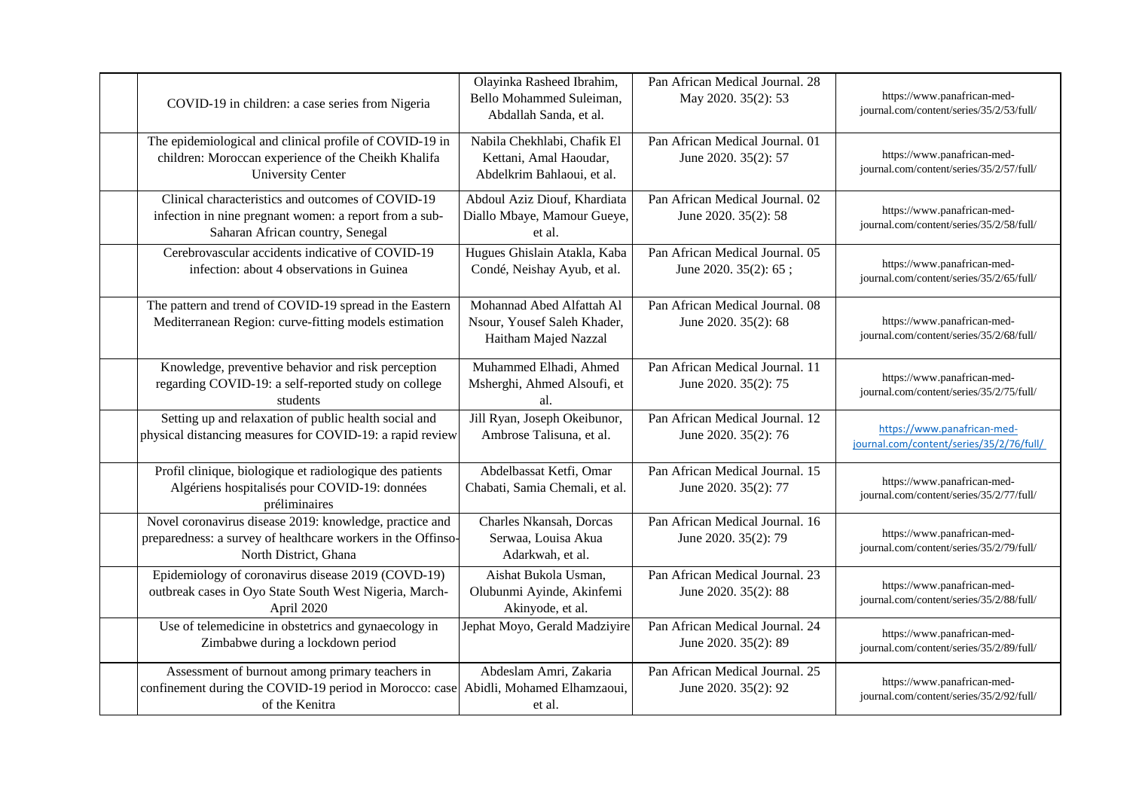| COVID-19 in children: a case series from Nigeria                                                                                                         | Olayinka Rasheed Ibrahim,<br>Bello Mohammed Suleiman,<br>Abdallah Sanda, et al.     | Pan African Medical Journal. 28<br>May 2020. 35(2): 53   | https://www.panafrican-med-<br>journal.com/content/series/35/2/53/full/ |
|----------------------------------------------------------------------------------------------------------------------------------------------------------|-------------------------------------------------------------------------------------|----------------------------------------------------------|-------------------------------------------------------------------------|
| The epidemiological and clinical profile of COVID-19 in<br>children: Moroccan experience of the Cheikh Khalifa<br><b>University Center</b>               | Nabila Chekhlabi, Chafik El<br>Kettani, Amal Haoudar,<br>Abdelkrim Bahlaoui, et al. | Pan African Medical Journal. 01<br>June 2020. 35(2): 57  | https://www.panafrican-med-<br>journal.com/content/series/35/2/57/full/ |
| Clinical characteristics and outcomes of COVID-19<br>infection in nine pregnant women: a report from a sub-<br>Saharan African country, Senegal          | Abdoul Aziz Diouf, Khardiata<br>Diallo Mbaye, Mamour Gueye,<br>et al.               | Pan African Medical Journal. 02<br>June 2020. 35(2): 58  | https://www.panafrican-med-<br>journal.com/content/series/35/2/58/full/ |
| Cerebrovascular accidents indicative of COVID-19<br>infection: about 4 observations in Guinea                                                            | Hugues Ghislain Atakla, Kaba<br>Condé, Neishay Ayub, et al.                         | Pan African Medical Journal. 05<br>June 2020. 35(2): 65; | https://www.panafrican-med-<br>journal.com/content/series/35/2/65/full/ |
| The pattern and trend of COVID-19 spread in the Eastern<br>Mediterranean Region: curve-fitting models estimation                                         | Mohannad Abed Alfattah Al<br>Nsour, Yousef Saleh Khader,<br>Haitham Majed Nazzal    | Pan African Medical Journal, 08<br>June 2020. 35(2): 68  | https://www.panafrican-med-<br>journal.com/content/series/35/2/68/full/ |
| Knowledge, preventive behavior and risk perception<br>regarding COVID-19: a self-reported study on college<br>students                                   | Muhammed Elhadi, Ahmed<br>Msherghi, Ahmed Alsoufi, et<br>al.                        | Pan African Medical Journal. 11<br>June 2020. 35(2): 75  | https://www.panafrican-med-<br>journal.com/content/series/35/2/75/full/ |
| Setting up and relaxation of public health social and<br>physical distancing measures for COVID-19: a rapid review                                       | Jill Ryan, Joseph Okeibunor,<br>Ambrose Talisuna, et al.                            | Pan African Medical Journal. 12<br>June 2020. 35(2): 76  | https://www.panafrican-med-<br>journal.com/content/series/35/2/76/full/ |
| Profil clinique, biologique et radiologique des patients<br>Algériens hospitalisés pour COVID-19: données<br>préliminaires                               | Abdelbassat Ketfi, Omar<br>Chabati, Samia Chemali, et al.                           | Pan African Medical Journal. 15<br>June 2020. 35(2): 77  | https://www.panafrican-med-<br>journal.com/content/series/35/2/77/full/ |
| Novel coronavirus disease 2019: knowledge, practice and<br>preparedness: a survey of healthcare workers in the Offinso-<br>North District, Ghana         | Charles Nkansah, Dorcas<br>Serwaa, Louisa Akua<br>Adarkwah, et al.                  | Pan African Medical Journal. 16<br>June 2020. 35(2): 79  | https://www.panafrican-med-<br>journal.com/content/series/35/2/79/full/ |
| Epidemiology of coronavirus disease 2019 (COVD-19)<br>outbreak cases in Oyo State South West Nigeria, March-<br>April 2020                               | Aishat Bukola Usman,<br>Olubunmi Ayinde, Akinfemi<br>Akinyode, et al.               | Pan African Medical Journal, 23<br>June 2020. 35(2): 88  | https://www.panafrican-med-<br>journal.com/content/series/35/2/88/full/ |
| Use of telemedicine in obstetrics and gynaecology in<br>Zimbabwe during a lockdown period                                                                | Jephat Moyo, Gerald Madziyire                                                       | Pan African Medical Journal. 24<br>June 2020. 35(2): 89  | https://www.panafrican-med-<br>journal.com/content/series/35/2/89/full/ |
| Assessment of burnout among primary teachers in<br>confinement during the COVID-19 period in Morocco: case Abidli, Mohamed Elhamzaoui,<br>of the Kenitra | Abdeslam Amri, Zakaria<br>et al.                                                    | Pan African Medical Journal. 25<br>June 2020. 35(2): 92  | https://www.panafrican-med-<br>journal.com/content/series/35/2/92/full/ |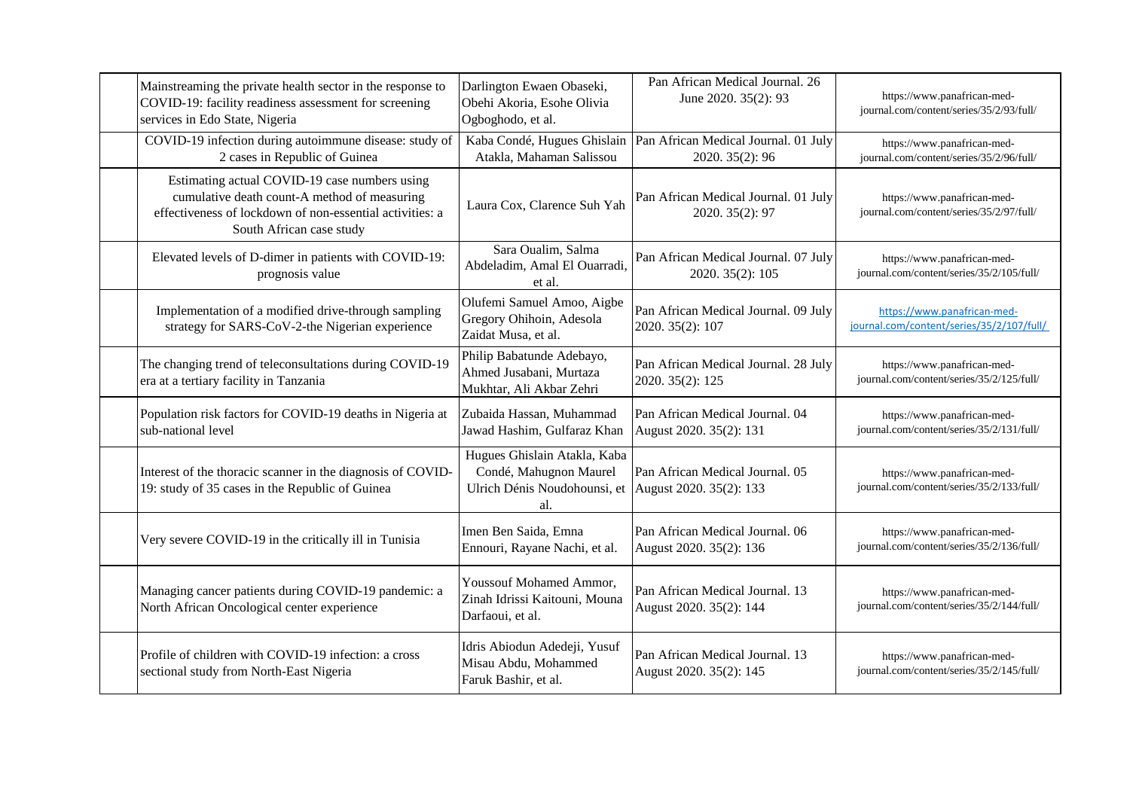| Mainstreaming the private health sector in the response to<br>COVID-19: facility readiness assessment for screening<br>services in Edo State, Nigeria                                 | Darlington Ewaen Obaseki,<br>Obehi Akoria, Esohe Olivia<br>Ogboghodo, et al.                  | Pan African Medical Journal. 26<br>June 2020. 35(2): 93    | https://www.panafrican-med-<br>journal.com/content/series/35/2/93/full/  |
|---------------------------------------------------------------------------------------------------------------------------------------------------------------------------------------|-----------------------------------------------------------------------------------------------|------------------------------------------------------------|--------------------------------------------------------------------------|
| COVID-19 infection during autoimmune disease: study of<br>2 cases in Republic of Guinea                                                                                               | Kaba Condé, Hugues Ghislain<br>Atakla, Mahaman Salissou                                       | Pan African Medical Journal. 01 July<br>2020. 35(2): 96    | https://www.panafrican-med-<br>journal.com/content/series/35/2/96/full/  |
| Estimating actual COVID-19 case numbers using<br>cumulative death count-A method of measuring<br>effectiveness of lockdown of non-essential activities: a<br>South African case study | Laura Cox, Clarence Suh Yah                                                                   | Pan African Medical Journal. 01 July<br>2020. 35(2): 97    | https://www.panafrican-med-<br>journal.com/content/series/35/2/97/full/  |
| Elevated levels of D-dimer in patients with COVID-19:<br>prognosis value                                                                                                              | Sara Oualim, Salma<br>Abdeladim, Amal El Ouarradi.<br>et al.                                  | Pan African Medical Journal. 07 July<br>2020. 35(2): 105   | https://www.panafrican-med-<br>journal.com/content/series/35/2/105/full/ |
| Implementation of a modified drive-through sampling<br>strategy for SARS-CoV-2-the Nigerian experience                                                                                | Olufemi Samuel Amoo, Aigbe<br>Gregory Ohihoin, Adesola<br>Zaidat Musa, et al.                 | Pan African Medical Journal. 09 July<br>2020. 35(2): 107   | https://www.panafrican-med-<br>journal.com/content/series/35/2/107/full/ |
| The changing trend of teleconsultations during COVID-19<br>era at a tertiary facility in Tanzania                                                                                     | Philip Babatunde Adebayo,<br>Ahmed Jusabani, Murtaza<br>Mukhtar, Ali Akbar Zehri              | Pan African Medical Journal. 28 July<br>2020. 35(2): 125   | https://www.panafrican-med-<br>journal.com/content/series/35/2/125/full/ |
| Population risk factors for COVID-19 deaths in Nigeria at<br>sub-national level                                                                                                       | Zubaida Hassan, Muhammad<br>Jawad Hashim, Gulfaraz Khan                                       | Pan African Medical Journal. 04<br>August 2020. 35(2): 131 | https://www.panafrican-med-<br>journal.com/content/series/35/2/131/full/ |
| Interest of the thoracic scanner in the diagnosis of COVID-<br>19: study of 35 cases in the Republic of Guinea                                                                        | Hugues Ghislain Atakla, Kaba<br>Condé, Mahugnon Maurel<br>Ulrich Dénis Noudohounsi, et<br>al. | Pan African Medical Journal. 05<br>August 2020. 35(2): 133 | https://www.panafrican-med-<br>journal.com/content/series/35/2/133/full/ |
| Very severe COVID-19 in the critically ill in Tunisia                                                                                                                                 | Imen Ben Saida, Emna<br>Ennouri, Rayane Nachi, et al.                                         | Pan African Medical Journal. 06<br>August 2020. 35(2): 136 | https://www.panafrican-med-<br>journal.com/content/series/35/2/136/full/ |
| Managing cancer patients during COVID-19 pandemic: a<br>North African Oncological center experience                                                                                   | <b>Youssouf Mohamed Ammor,</b><br>Zinah Idrissi Kaitouni, Mouna<br>Darfaoui, et al.           | Pan African Medical Journal. 13<br>August 2020. 35(2): 144 | https://www.panafrican-med-<br>journal.com/content/series/35/2/144/full/ |
| Profile of children with COVID-19 infection: a cross<br>sectional study from North-East Nigeria                                                                                       | Idris Abiodun Adedeji, Yusuf<br>Misau Abdu, Mohammed<br>Faruk Bashir, et al.                  | Pan African Medical Journal. 13<br>August 2020. 35(2): 145 | https://www.panafrican-med-<br>journal.com/content/series/35/2/145/full/ |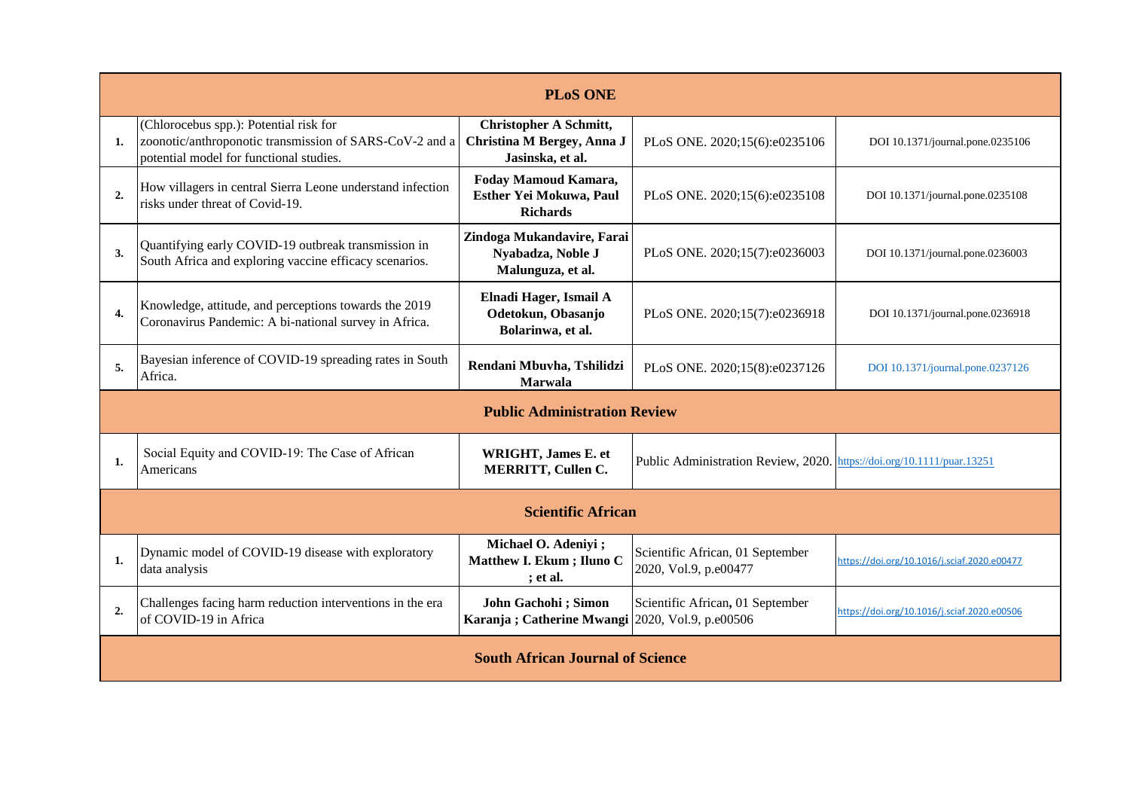| <b>PLoS ONE</b>  |                                                                                                                                              |                                                                                 |                                                                        |                                             |
|------------------|----------------------------------------------------------------------------------------------------------------------------------------------|---------------------------------------------------------------------------------|------------------------------------------------------------------------|---------------------------------------------|
| 1.               | (Chlorocebus spp.): Potential risk for<br>zoonotic/anthroponotic transmission of SARS-CoV-2 and a<br>potential model for functional studies. | <b>Christopher A Schmitt,</b><br>Christina M Bergey, Anna J<br>Jasinska, et al. | PLoS ONE. 2020;15(6):e0235106                                          | DOI 10.1371/journal.pone.0235106            |
| $\overline{2}$   | How villagers in central Sierra Leone understand infection<br>risks under threat of Covid-19.                                                | Foday Mamoud Kamara,<br>Esther Yei Mokuwa, Paul<br><b>Richards</b>              | PLoS ONE. 2020;15(6):e0235108                                          | DOI 10.1371/journal.pone.0235108            |
| 3.               | Quantifying early COVID-19 outbreak transmission in<br>South Africa and exploring vaccine efficacy scenarios.                                | Zindoga Mukandavire, Farai<br>Nyabadza, Noble J<br>Malunguza, et al.            | PLoS ONE. 2020;15(7):e0236003                                          | DOI 10.1371/journal.pone.0236003            |
| $\overline{4}$ . | Knowledge, attitude, and perceptions towards the 2019<br>Coronavirus Pandemic: A bi-national survey in Africa.                               | Elnadi Hager, Ismail A<br>Odetokun, Obasanjo<br>Bolarinwa, et al.               | PLoS ONE. 2020;15(7):e0236918                                          | DOI 10.1371/journal.pone.0236918            |
| 5.               | Bayesian inference of COVID-19 spreading rates in South<br>Africa.                                                                           | Rendani Mbuvha, Tshilidzi<br><b>Marwala</b>                                     | PLoS ONE. 2020;15(8):e0237126                                          | DOI 10.1371/journal.pone.0237126            |
|                  |                                                                                                                                              | <b>Public Administration Review</b>                                             |                                                                        |                                             |
| 1.               | Social Equity and COVID-19: The Case of African<br>Americans                                                                                 | WRIGHT, James E. et<br><b>MERRITT, Cullen C.</b>                                | Public Administration Review, 2020. https://doi.org/10.1111/puar.13251 |                                             |
|                  |                                                                                                                                              | <b>Scientific African</b>                                                       |                                                                        |                                             |
| 1.               | Dynamic model of COVID-19 disease with exploratory<br>data analysis                                                                          | Michael O. Adeniyi ;<br>Matthew I. Ekum; Iluno C<br>; et al.                    | Scientific African, 01 September<br>2020, Vol.9, p.e00477              | https://doi.org/10.1016/j.sciaf.2020.e00477 |
| $\overline{2}$   | Challenges facing harm reduction interventions in the era<br>of COVID-19 in Africa                                                           | John Gachohi; Simon<br>Karanja ; Catherine Mwangi 2020, Vol.9, p.e00506         | Scientific African, 01 September                                       | https://doi.org/10.1016/j.sciaf.2020.e00506 |
|                  |                                                                                                                                              | <b>South African Journal of Science</b>                                         |                                                                        |                                             |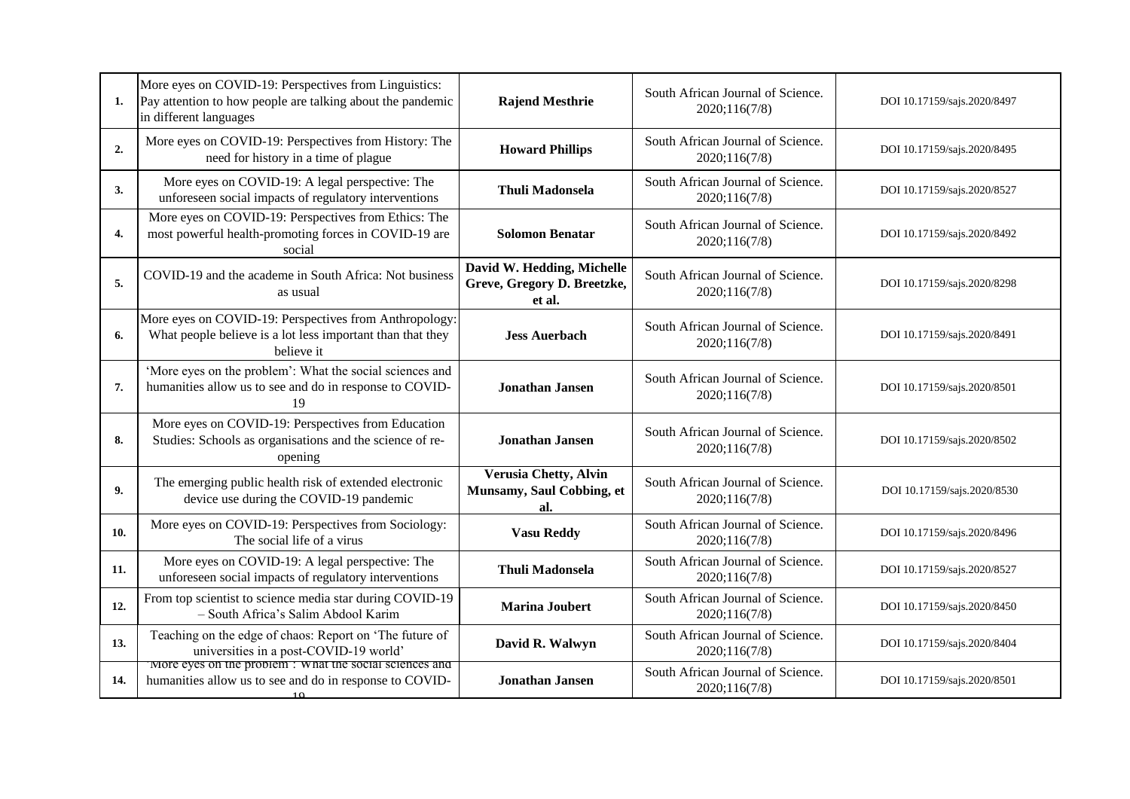| 1.  | More eyes on COVID-19: Perspectives from Linguistics:<br>Pay attention to how people are talking about the pandemic<br>in different languages | <b>Rajend Mesthrie</b>                                              | South African Journal of Science.<br>2020;116(7/8) | DOI 10.17159/sajs.2020/8497 |
|-----|-----------------------------------------------------------------------------------------------------------------------------------------------|---------------------------------------------------------------------|----------------------------------------------------|-----------------------------|
| 2.  | More eyes on COVID-19: Perspectives from History: The<br>need for history in a time of plague                                                 | <b>Howard Phillips</b>                                              | South African Journal of Science.<br>2020;116(7/8) | DOI 10.17159/sajs.2020/8495 |
| 3.  | More eyes on COVID-19: A legal perspective: The<br>unforeseen social impacts of regulatory interventions                                      | <b>Thuli Madonsela</b>                                              | South African Journal of Science.<br>2020;116(7/8) | DOI 10.17159/sajs.2020/8527 |
| 4.  | More eyes on COVID-19: Perspectives from Ethics: The<br>most powerful health-promoting forces in COVID-19 are<br>social                       | <b>Solomon Benatar</b>                                              | South African Journal of Science.<br>2020;116(7/8) | DOI 10.17159/sajs.2020/8492 |
| 5.  | COVID-19 and the academe in South Africa: Not business<br>as usual                                                                            | David W. Hedding, Michelle<br>Greve, Gregory D. Breetzke,<br>et al. | South African Journal of Science.<br>2020;116(7/8) | DOI 10.17159/sajs.2020/8298 |
| 6.  | More eyes on COVID-19: Perspectives from Anthropology:<br>What people believe is a lot less important than that they<br>believe it            | <b>Jess Auerbach</b>                                                | South African Journal of Science.<br>2020;116(7/8) | DOI 10.17159/sajs.2020/8491 |
| 7.  | 'More eyes on the problem': What the social sciences and<br>humanities allow us to see and do in response to COVID-<br>19                     | <b>Jonathan Jansen</b>                                              | South African Journal of Science.<br>2020;116(7/8) | DOI 10.17159/sajs.2020/8501 |
| 8.  | More eyes on COVID-19: Perspectives from Education<br>Studies: Schools as organisations and the science of re-<br>opening                     | <b>Jonathan Jansen</b>                                              | South African Journal of Science.<br>2020;116(7/8) | DOI 10.17159/sajs.2020/8502 |
| 9.  | The emerging public health risk of extended electronic<br>device use during the COVID-19 pandemic                                             | <b>Verusia Chetty, Alvin</b><br>Munsamy, Saul Cobbing, et<br>al.    | South African Journal of Science.<br>2020;116(7/8) | DOI 10.17159/sajs.2020/8530 |
| 10. | More eyes on COVID-19: Perspectives from Sociology:<br>The social life of a virus                                                             | <b>Vasu Reddy</b>                                                   | South African Journal of Science.<br>2020;116(7/8) | DOI 10.17159/sajs.2020/8496 |
| 11. | More eyes on COVID-19: A legal perspective: The<br>unforeseen social impacts of regulatory interventions                                      | <b>Thuli Madonsela</b>                                              | South African Journal of Science.<br>2020;116(7/8) | DOI 10.17159/sajs.2020/8527 |
| 12. | From top scientist to science media star during COVID-19<br>- South Africa's Salim Abdool Karim                                               | <b>Marina Joubert</b>                                               | South African Journal of Science.<br>2020;116(7/8) | DOI 10.17159/sajs.2020/8450 |
| 13. | Teaching on the edge of chaos: Report on 'The future of<br>universities in a post-COVID-19 world'                                             | David R. Walwyn                                                     | South African Journal of Science.<br>2020;116(7/8) | DOI 10.17159/sajs.2020/8404 |
| 14. | More eyes on the problem: What the social sciences and<br>humanities allow us to see and do in response to COVID-<br>10                       | <b>Jonathan Jansen</b>                                              | South African Journal of Science.<br>2020;116(7/8) | DOI 10.17159/sajs.2020/8501 |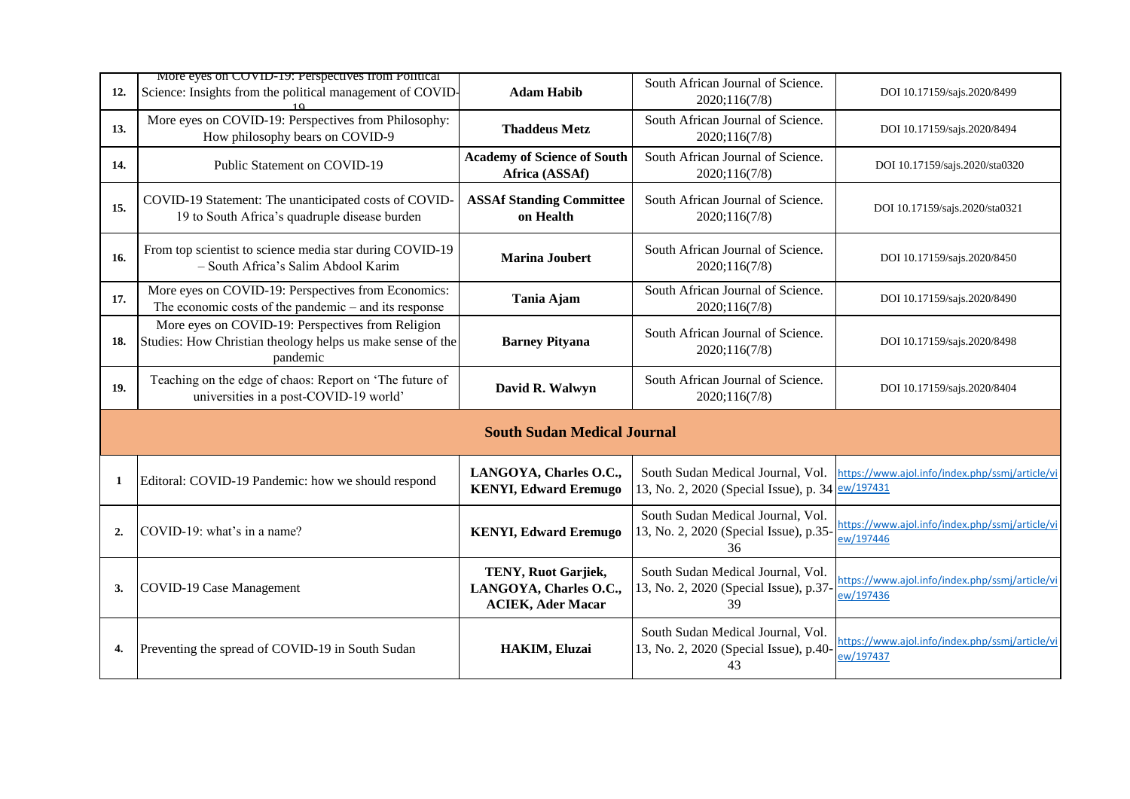|                | More eyes on COVID-19: Perspectives from Political                                                                          |                                                                           | South African Journal of Science.                                                     |                                                              |
|----------------|-----------------------------------------------------------------------------------------------------------------------------|---------------------------------------------------------------------------|---------------------------------------------------------------------------------------|--------------------------------------------------------------|
| 12.            | Science: Insights from the political management of COVID-                                                                   | <b>Adam Habib</b>                                                         | 2020;116(7/8)                                                                         | DOI 10.17159/sajs.2020/8499                                  |
| 13.            | More eyes on COVID-19: Perspectives from Philosophy:<br>How philosophy bears on COVID-9                                     | <b>Thaddeus Metz</b>                                                      | South African Journal of Science.<br>2020;116(7/8)                                    | DOI 10.17159/sajs.2020/8494                                  |
| 14.            | Public Statement on COVID-19                                                                                                | <b>Academy of Science of South</b><br>Africa (ASSAf)                      | South African Journal of Science.<br>2020;116(7/8)                                    | DOI 10.17159/sajs.2020/sta0320                               |
| 15.            | COVID-19 Statement: The unanticipated costs of COVID-<br>19 to South Africa's quadruple disease burden                      | <b>ASSAf Standing Committee</b><br>on Health                              | South African Journal of Science.<br>2020;116(7/8)                                    | DOI 10.17159/sajs.2020/sta0321                               |
| 16.            | From top scientist to science media star during COVID-19<br>- South Africa's Salim Abdool Karim                             | <b>Marina Joubert</b>                                                     | South African Journal of Science.<br>2020;116(7/8)                                    | DOI 10.17159/sajs.2020/8450                                  |
| 17.            | More eyes on COVID-19: Perspectives from Economics:<br>The economic costs of the pandemic $-$ and its response              | Tania Ajam                                                                | South African Journal of Science.<br>2020;116(7/8)                                    | DOI 10.17159/sajs.2020/8490                                  |
| 18.            | More eyes on COVID-19: Perspectives from Religion<br>Studies: How Christian theology helps us make sense of the<br>pandemic | <b>Barney Pityana</b>                                                     | South African Journal of Science.<br>2020;116(7/8)                                    | DOI 10.17159/sajs.2020/8498                                  |
| 19.            | Teaching on the edge of chaos: Report on 'The future of<br>universities in a post-COVID-19 world'                           | David R. Walwyn                                                           | South African Journal of Science.<br>2020;116(7/8)                                    | DOI 10.17159/sajs.2020/8404                                  |
|                |                                                                                                                             | <b>South Sudan Medical Journal</b>                                        |                                                                                       |                                                              |
| 1              | Editoral: COVID-19 Pandemic: how we should respond                                                                          | LANGOYA, Charles O.C.,<br><b>KENYI, Edward Eremugo</b>                    | South Sudan Medical Journal, Vol.<br>13, No. 2, 2020 (Special Issue), p. 34 ew/197431 | https://www.ajol.info/index.php/ssmj/article/vi              |
| $\overline{2}$ | COVID-19: what's in a name?                                                                                                 | <b>KENYI, Edward Eremugo</b>                                              | South Sudan Medical Journal, Vol.<br>13, No. 2, 2020 (Special Issue), p.35-<br>36     | https://www.ajol.info/index.php/ssmj/article/vi<br>ew/197446 |
| 3.             | COVID-19 Case Management                                                                                                    | TENY, Ruot Garjiek,<br>LANGOYA, Charles O.C.,<br><b>ACIEK, Ader Macar</b> | South Sudan Medical Journal, Vol.<br>13, No. 2, 2020 (Special Issue), p.37-<br>39     | https://www.ajol.info/index.php/ssmj/article/vi<br>ew/197436 |
| 4.             | Preventing the spread of COVID-19 in South Sudan                                                                            | HAKIM, Eluzai                                                             | South Sudan Medical Journal, Vol.<br>13, No. 2, 2020 (Special Issue), p.40-<br>43     | https://www.ajol.info/index.php/ssmj/article/vi<br>ew/197437 |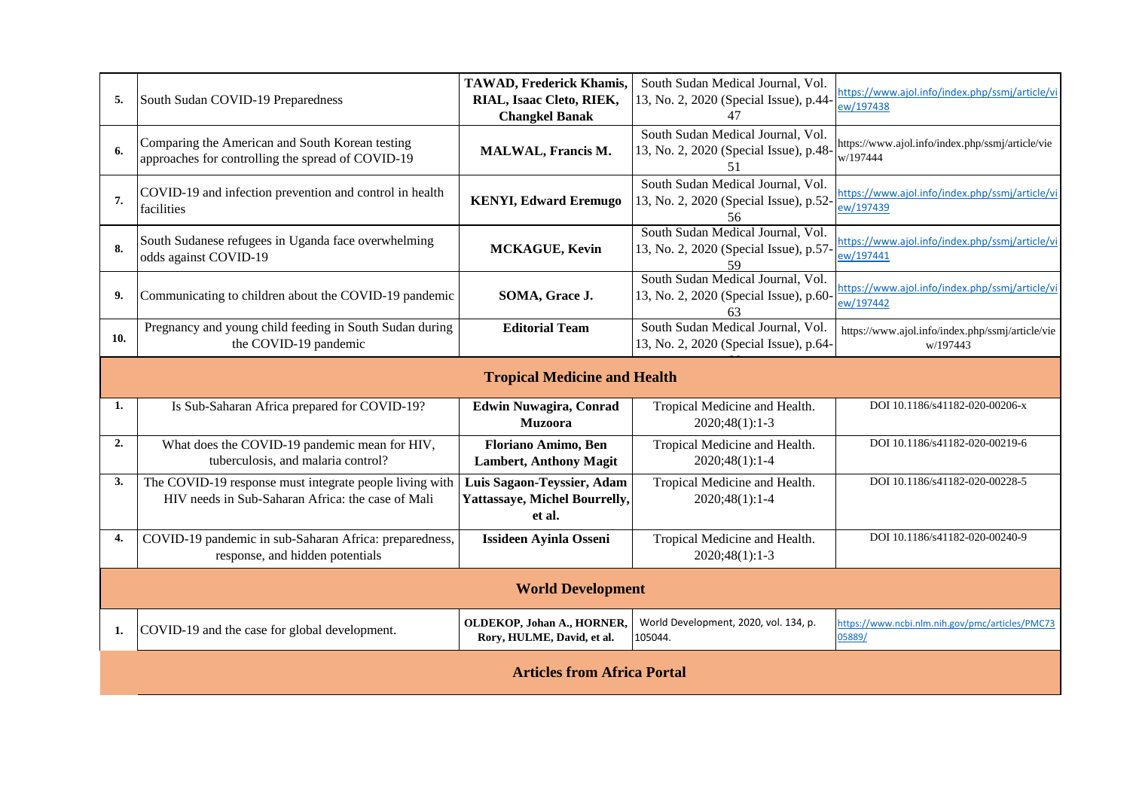| 5.                                  | South Sudan COVID-19 Preparedness                                                                            | <b>TAWAD, Frederick Khamis,</b><br>RIAL, Isaac Cleto, RIEK,<br><b>Changkel Banak</b> | South Sudan Medical Journal, Vol.<br>13, No. 2, 2020 (Special Issue), p.44-<br>47 | https://www.ajol.info/index.php/ssmj/article/vi<br>ew/197438 |  |  |
|-------------------------------------|--------------------------------------------------------------------------------------------------------------|--------------------------------------------------------------------------------------|-----------------------------------------------------------------------------------|--------------------------------------------------------------|--|--|
| 6.                                  | Comparing the American and South Korean testing<br>approaches for controlling the spread of COVID-19         | MALWAL, Francis M.                                                                   | South Sudan Medical Journal, Vol.<br>13, No. 2, 2020 (Special Issue), p.48-<br>51 | https://www.ajol.info/index.php/ssmj/article/vie<br>w/197444 |  |  |
| 7.                                  | COVID-19 and infection prevention and control in health<br>facilities                                        | <b>KENYI, Edward Eremugo</b>                                                         | South Sudan Medical Journal, Vol.<br>13, No. 2, 2020 (Special Issue), p.52-<br>56 | https://www.ajol.info/index.php/ssmj/article/vi<br>ew/197439 |  |  |
| 8.                                  | South Sudanese refugees in Uganda face overwhelming<br>odds against COVID-19                                 | MCKAGUE, Kevin                                                                       | South Sudan Medical Journal, Vol.<br>13, No. 2, 2020 (Special Issue), p.57-<br>59 | https://www.ajol.info/index.php/ssmj/article/vi<br>ew/197441 |  |  |
| 9.                                  | Communicating to children about the COVID-19 pandemic                                                        | SOMA, Grace J.                                                                       | South Sudan Medical Journal, Vol.<br>13, No. 2, 2020 (Special Issue), p.60-<br>63 | https://www.ajol.info/index.php/ssmj/article/vi<br>ew/197442 |  |  |
| 10.                                 | Pregnancy and young child feeding in South Sudan during<br>the COVID-19 pandemic                             | <b>Editorial Team</b>                                                                | South Sudan Medical Journal, Vol.<br>13, No. 2, 2020 (Special Issue), p.64-       | https://www.ajol.info/index.php/ssmj/article/vie<br>w/197443 |  |  |
| <b>Tropical Medicine and Health</b> |                                                                                                              |                                                                                      |                                                                                   |                                                              |  |  |
| 1.                                  | Is Sub-Saharan Africa prepared for COVID-19?                                                                 | <b>Edwin Nuwagira, Conrad</b><br><b>Muzoora</b>                                      | Tropical Medicine and Health.<br>2020;48(1):1-3                                   | DOI 10.1186/s41182-020-00206-x                               |  |  |
| 2.                                  | What does the COVID-19 pandemic mean for HIV,<br>tuberculosis, and malaria control?                          | Floriano Amimo, Ben<br><b>Lambert, Anthony Magit</b>                                 | Tropical Medicine and Health.<br>2020;48(1):1-4                                   | DOI 10.1186/s41182-020-00219-6                               |  |  |
| 3.                                  | The COVID-19 response must integrate people living with<br>HIV needs in Sub-Saharan Africa: the case of Mali | Luis Sagaon-Teyssier, Adam<br><b>Yattassaye, Michel Bourrelly,</b><br>et al.         | Tropical Medicine and Health.<br>2020;48(1):1-4                                   | DOI 10.1186/s41182-020-00228-5                               |  |  |
| 4.                                  | COVID-19 pandemic in sub-Saharan Africa: preparedness,<br>response, and hidden potentials                    | <b>Issideen Ayinla Osseni</b>                                                        | Tropical Medicine and Health.<br>$2020;48(1):1-3$                                 | DOI 10.1186/s41182-020-00240-9                               |  |  |
| <b>World Development</b>            |                                                                                                              |                                                                                      |                                                                                   |                                                              |  |  |
| 1.                                  | COVID-19 and the case for global development.                                                                | OLDEKOP, Johan A., HORNER,<br>Rory, HULME, David, et al.                             | World Development, 2020, vol. 134, p.<br>105044.                                  | https://www.ncbi.nlm.nih.gov/pmc/articles/PMC73<br>05889/    |  |  |
|                                     | <b>Articles from Africa Portal</b>                                                                           |                                                                                      |                                                                                   |                                                              |  |  |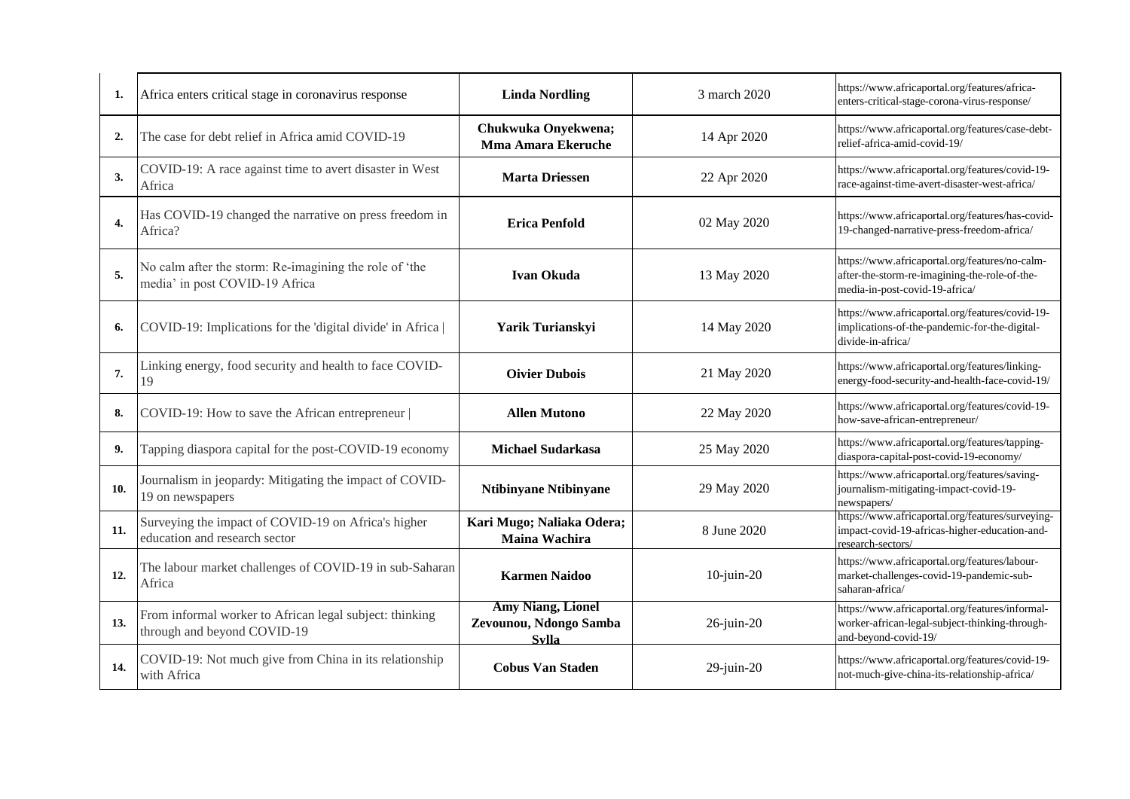| 1.  | Africa enters critical stage in coronavirus response                                     | <b>Linda Nordling</b>                                              | 3 march 2020     | https://www.africaportal.org/features/africa-<br>enters-critical-stage-corona-virus-response/                                     |
|-----|------------------------------------------------------------------------------------------|--------------------------------------------------------------------|------------------|-----------------------------------------------------------------------------------------------------------------------------------|
| 2.  | The case for debt relief in Africa amid COVID-19                                         | Chukwuka Onyekwena;<br><b>Mma Amara Ekeruche</b>                   | 14 Apr 2020      | https://www.africaportal.org/features/case-debt-<br>relief-africa-amid-covid-19/                                                  |
| 3.  | COVID-19: A race against time to avert disaster in West<br>Africa                        | <b>Marta Driessen</b>                                              | 22 Apr 2020      | https://www.africaportal.org/features/covid-19-<br>race-against-time-avert-disaster-west-africa/                                  |
| 4.  | Has COVID-19 changed the narrative on press freedom in<br>Africa?                        | <b>Erica Penfold</b>                                               | 02 May 2020      | https://www.africaportal.org/features/has-covid-<br>19-changed-narrative-press-freedom-africa/                                    |
| 5.  | No calm after the storm: Re-imagining the role of 'the<br>media' in post COVID-19 Africa | <b>Ivan Okuda</b>                                                  | 13 May 2020      | https://www.africaportal.org/features/no-calm-<br>after-the-storm-re-imagining-the-role-of-the-<br>media-in-post-covid-19-africa/ |
| 6.  | COVID-19: Implications for the 'digital divide' in Africa                                | Yarik Turianskyi                                                   | 14 May 2020      | https://www.africaportal.org/features/covid-19-<br>implications-of-the-pandemic-for-the-digital-<br>divide-in-africa/             |
| 7.  | Linking energy, food security and health to face COVID-<br>19                            | <b>Oivier Dubois</b>                                               | 21 May 2020      | https://www.africaportal.org/features/linking-<br>energy-food-security-and-health-face-covid-19/                                  |
| 8.  | COVID-19: How to save the African entrepreneur                                           | <b>Allen Mutono</b>                                                | 22 May 2020      | https://www.africaportal.org/features/covid-19-<br>how-save-african-entrepreneur/                                                 |
| 9.  | Tapping diaspora capital for the post-COVID-19 economy                                   | <b>Michael Sudarkasa</b>                                           | 25 May 2020      | https://www.africaportal.org/features/tapping-<br>diaspora-capital-post-covid-19-economy/                                         |
| 10. | Journalism in jeopardy: Mitigating the impact of COVID-<br>19 on newspapers              | <b>Ntibinyane Ntibinyane</b>                                       | 29 May 2020      | https://www.africaportal.org/features/saving-<br>journalism-mitigating-impact-covid-19-<br>newspapers/                            |
| 11. | Surveying the impact of COVID-19 on Africa's higher<br>education and research sector     | Kari Mugo; Naliaka Odera;<br><b>Maina Wachira</b>                  | 8 June 2020      | https://www.africaportal.org/features/surveying-<br>impact-covid-19-africas-higher-education-and-<br>research-sectors/            |
| 12. | The labour market challenges of COVID-19 in sub-Saharan<br>Africa                        | <b>Karmen Naidoo</b>                                               | $10$ -juin- $20$ | https://www.africaportal.org/features/labour-<br>market-challenges-covid-19-pandemic-sub-<br>saharan-africa/                      |
| 13. | From informal worker to African legal subject: thinking<br>through and beyond COVID-19   | <b>Amy Niang, Lionel</b><br>Zevounou, Ndongo Samba<br><b>Svlla</b> | $26$ -juin- $20$ | https://www.africaportal.org/features/informal-<br>worker-african-legal-subject-thinking-through-<br>and-beyond-covid-19/         |
| 14. | COVID-19: Not much give from China in its relationship<br>with Africa                    | <b>Cobus Van Staden</b>                                            | $29$ -juin- $20$ | https://www.africaportal.org/features/covid-19-<br>not-much-give-china-its-relationship-africa/                                   |